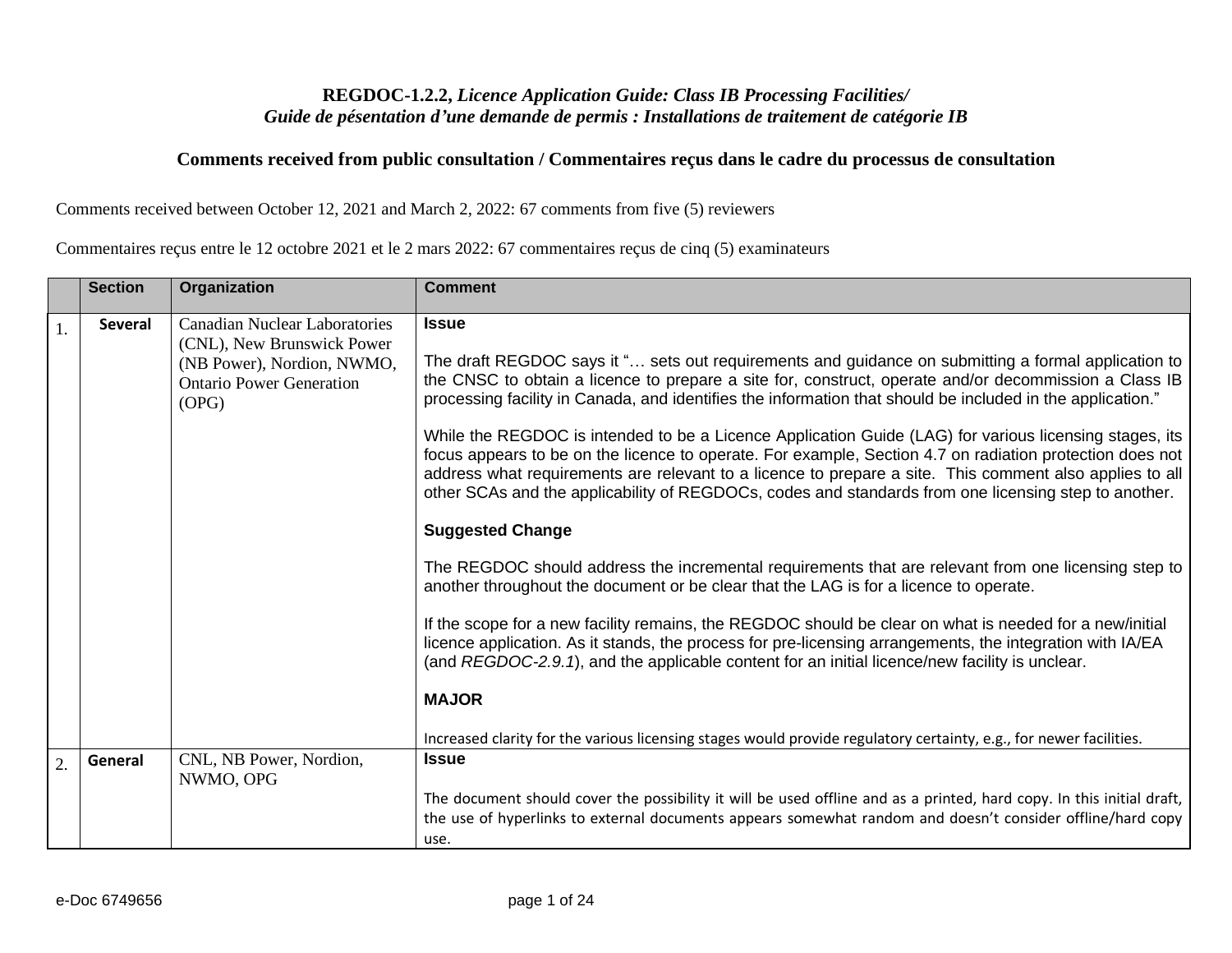## **REGDOC-1.2.2,** *Licence Application Guide: Class IB Processing Facilities/ Guide de pésentation d'une demande de permis : Installations de traitement de catégorie IB*

## **Comments received from public consultation / Commentaires reçus dans le cadre du processus de consultation**

Comments received between October 12, 2021 and March 2, 2022: 67 comments from five (5) reviewers

Commentaires reçus entre le 12 octobre 2021 et le 2 mars 2022: 67 commentaires reçus de cinq (5) examinateurs

|    | <b>Section</b> | Organization                                                                                                                                 | <b>Comment</b>                                                                                                                                                                                                                                                                                                                                                                                                                                                                                                                                                                                                                                                                                                                                                                                                                                                                                                                                                                                                                                                                                                                                                                                                                                                                                                                                           |
|----|----------------|----------------------------------------------------------------------------------------------------------------------------------------------|----------------------------------------------------------------------------------------------------------------------------------------------------------------------------------------------------------------------------------------------------------------------------------------------------------------------------------------------------------------------------------------------------------------------------------------------------------------------------------------------------------------------------------------------------------------------------------------------------------------------------------------------------------------------------------------------------------------------------------------------------------------------------------------------------------------------------------------------------------------------------------------------------------------------------------------------------------------------------------------------------------------------------------------------------------------------------------------------------------------------------------------------------------------------------------------------------------------------------------------------------------------------------------------------------------------------------------------------------------|
|    | <b>Several</b> | <b>Canadian Nuclear Laboratories</b><br>(CNL), New Brunswick Power<br>(NB Power), Nordion, NWMO,<br><b>Ontario Power Generation</b><br>(OPG) | <b>Issue</b><br>The draft REGDOC says it " sets out requirements and guidance on submitting a formal application to<br>the CNSC to obtain a licence to prepare a site for, construct, operate and/or decommission a Class IB<br>processing facility in Canada, and identifies the information that should be included in the application."<br>While the REGDOC is intended to be a Licence Application Guide (LAG) for various licensing stages, its<br>focus appears to be on the licence to operate. For example, Section 4.7 on radiation protection does not<br>address what requirements are relevant to a licence to prepare a site. This comment also applies to all<br>other SCAs and the applicability of REGDOCs, codes and standards from one licensing step to another.<br><b>Suggested Change</b><br>The REGDOC should address the incremental requirements that are relevant from one licensing step to<br>another throughout the document or be clear that the LAG is for a licence to operate.<br>If the scope for a new facility remains, the REGDOC should be clear on what is needed for a new/initial<br>licence application. As it stands, the process for pre-licensing arrangements, the integration with IA/EA<br>(and REGDOC-2.9.1), and the applicable content for an initial licence/new facility is unclear.<br><b>MAJOR</b> |
|    |                |                                                                                                                                              | Increased clarity for the various licensing stages would provide regulatory certainty, e.g., for newer facilities.                                                                                                                                                                                                                                                                                                                                                                                                                                                                                                                                                                                                                                                                                                                                                                                                                                                                                                                                                                                                                                                                                                                                                                                                                                       |
| 2. | General        | CNL, NB Power, Nordion,<br>NWMO, OPG                                                                                                         | <b>Issue</b><br>The document should cover the possibility it will be used offline and as a printed, hard copy. In this initial draft,<br>the use of hyperlinks to external documents appears somewhat random and doesn't consider offline/hard copy                                                                                                                                                                                                                                                                                                                                                                                                                                                                                                                                                                                                                                                                                                                                                                                                                                                                                                                                                                                                                                                                                                      |
|    |                |                                                                                                                                              | use.                                                                                                                                                                                                                                                                                                                                                                                                                                                                                                                                                                                                                                                                                                                                                                                                                                                                                                                                                                                                                                                                                                                                                                                                                                                                                                                                                     |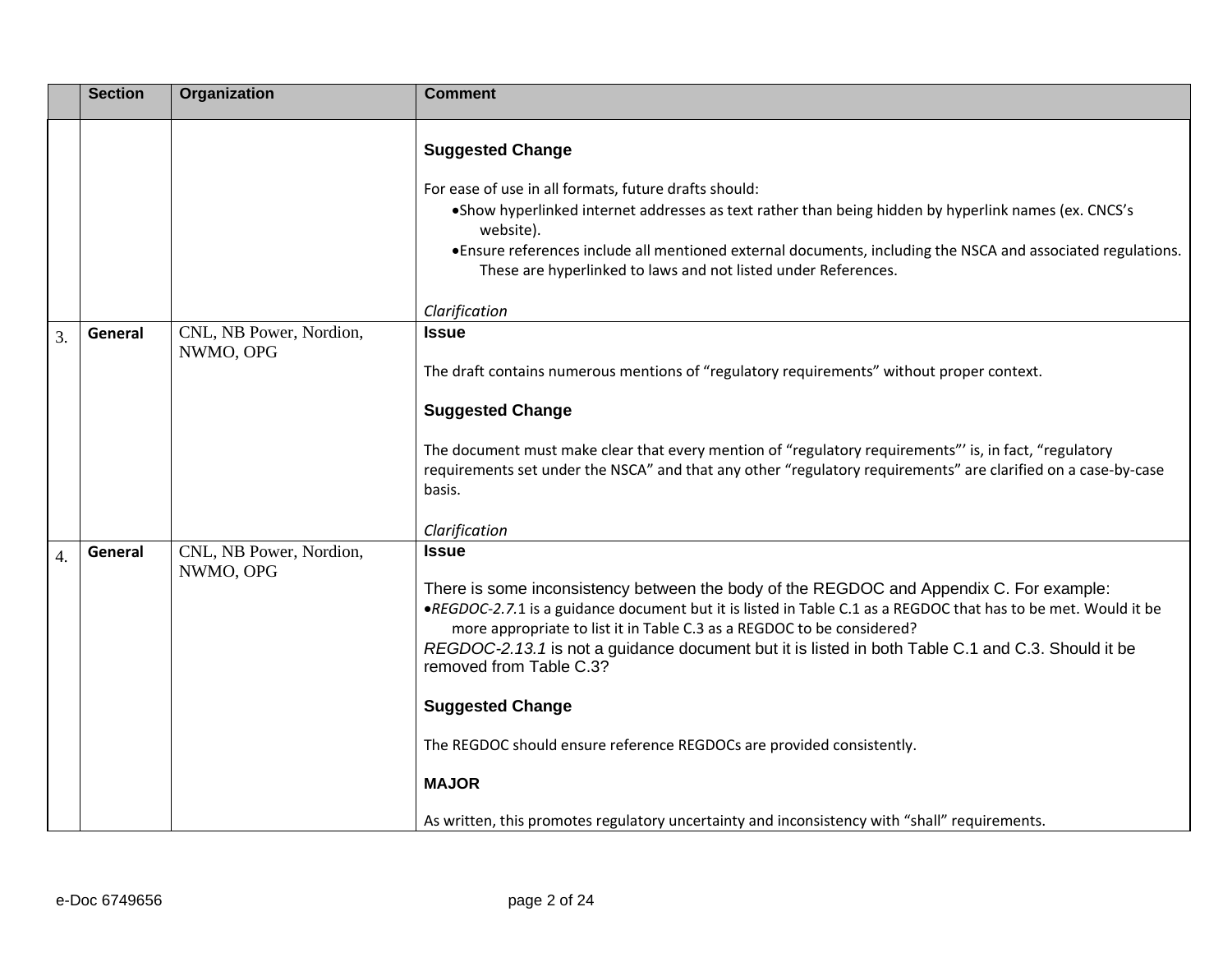|    | <b>Section</b> | Organization            | <b>Comment</b>                                                                                                                                                                                                                                                                                                                                                                                                      |
|----|----------------|-------------------------|---------------------------------------------------------------------------------------------------------------------------------------------------------------------------------------------------------------------------------------------------------------------------------------------------------------------------------------------------------------------------------------------------------------------|
|    |                |                         | <b>Suggested Change</b><br>For ease of use in all formats, future drafts should:<br>• Show hyperlinked internet addresses as text rather than being hidden by hyperlink names (ex. CNCS's<br>website).<br>• Ensure references include all mentioned external documents, including the NSCA and associated regulations.<br>These are hyperlinked to laws and not listed under References.<br>Clarification           |
| 3. | General        | CNL, NB Power, Nordion, | <b>Issue</b>                                                                                                                                                                                                                                                                                                                                                                                                        |
|    |                | NWMO, OPG               | The draft contains numerous mentions of "regulatory requirements" without proper context.<br><b>Suggested Change</b>                                                                                                                                                                                                                                                                                                |
|    |                |                         | The document must make clear that every mention of "regulatory requirements" is, in fact, "regulatory<br>requirements set under the NSCA" and that any other "regulatory requirements" are clarified on a case-by-case<br>basis.                                                                                                                                                                                    |
| 4. | General        | CNL, NB Power, Nordion, | Clarification<br><b>Issue</b>                                                                                                                                                                                                                                                                                                                                                                                       |
|    |                | NWMO, OPG               | There is some inconsistency between the body of the REGDOC and Appendix C. For example:<br>•REGDOC-2.7.1 is a guidance document but it is listed in Table C.1 as a REGDOC that has to be met. Would it be<br>more appropriate to list it in Table C.3 as a REGDOC to be considered?<br>REGDOC-2.13.1 is not a guidance document but it is listed in both Table C.1 and C.3. Should it be<br>removed from Table C.3? |
|    |                |                         | <b>Suggested Change</b>                                                                                                                                                                                                                                                                                                                                                                                             |
|    |                |                         | The REGDOC should ensure reference REGDOCs are provided consistently.                                                                                                                                                                                                                                                                                                                                               |
|    |                |                         | <b>MAJOR</b>                                                                                                                                                                                                                                                                                                                                                                                                        |
|    |                |                         | As written, this promotes regulatory uncertainty and inconsistency with "shall" requirements.                                                                                                                                                                                                                                                                                                                       |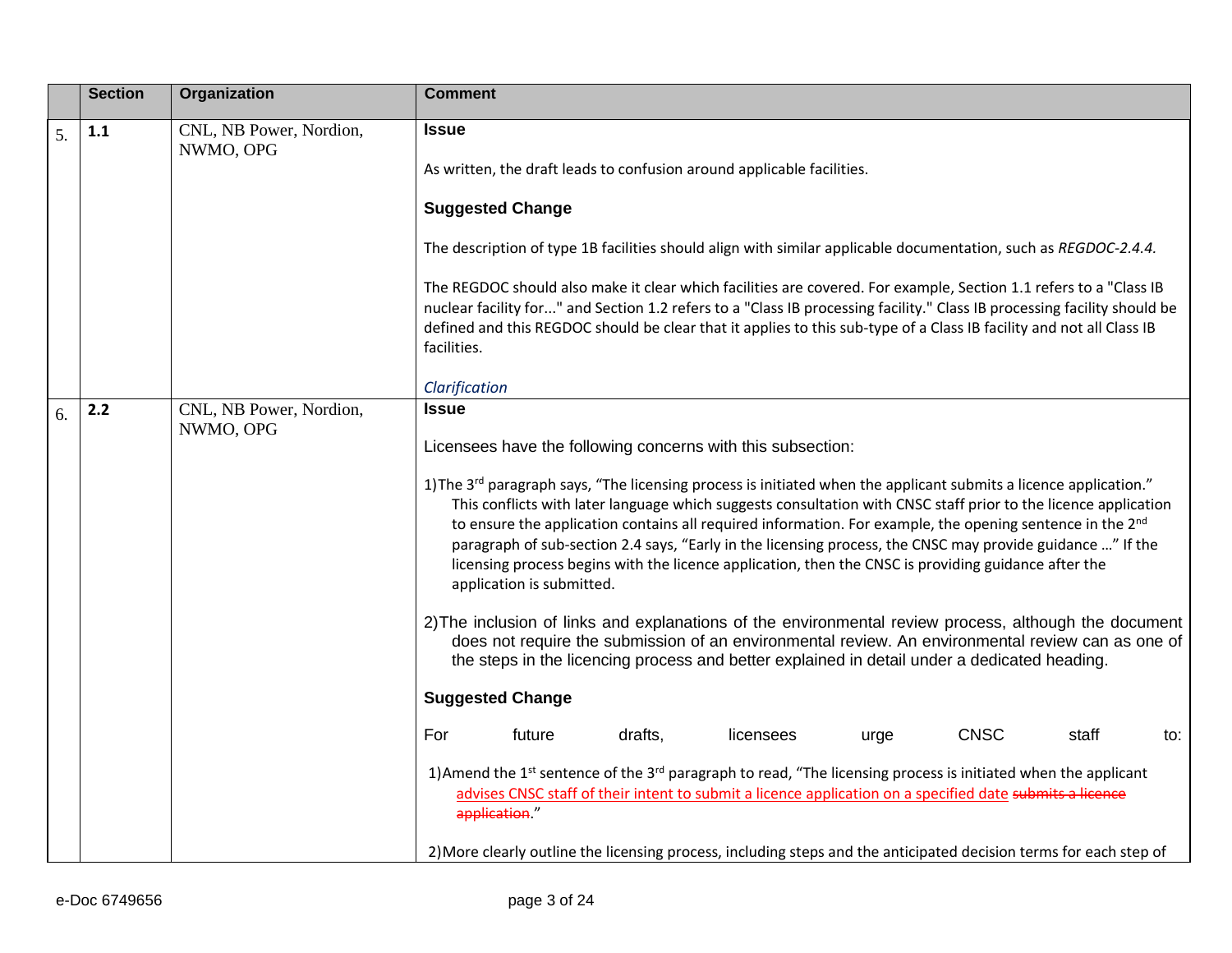|    | <b>Section</b> | Organization                         | Comment                                                                                                                                                                                                                                                                                                                                                                                                                                                                                                                                                                                                                      |
|----|----------------|--------------------------------------|------------------------------------------------------------------------------------------------------------------------------------------------------------------------------------------------------------------------------------------------------------------------------------------------------------------------------------------------------------------------------------------------------------------------------------------------------------------------------------------------------------------------------------------------------------------------------------------------------------------------------|
| 5. | 1.1            | CNL, NB Power, Nordion,<br>NWMO, OPG | <b>Issue</b>                                                                                                                                                                                                                                                                                                                                                                                                                                                                                                                                                                                                                 |
|    |                |                                      | As written, the draft leads to confusion around applicable facilities.                                                                                                                                                                                                                                                                                                                                                                                                                                                                                                                                                       |
|    |                |                                      | <b>Suggested Change</b>                                                                                                                                                                                                                                                                                                                                                                                                                                                                                                                                                                                                      |
|    |                |                                      | The description of type 1B facilities should align with similar applicable documentation, such as REGDOC-2.4.4.                                                                                                                                                                                                                                                                                                                                                                                                                                                                                                              |
|    |                |                                      | The REGDOC should also make it clear which facilities are covered. For example, Section 1.1 refers to a "Class IB<br>nuclear facility for" and Section 1.2 refers to a "Class IB processing facility." Class IB processing facility should be<br>defined and this REGDOC should be clear that it applies to this sub-type of a Class IB facility and not all Class IB<br>facilities.                                                                                                                                                                                                                                         |
|    |                |                                      | Clarification                                                                                                                                                                                                                                                                                                                                                                                                                                                                                                                                                                                                                |
| 6. | 2.2            | CNL, NB Power, Nordion,<br>NWMO, OPG | <b>Issue</b>                                                                                                                                                                                                                                                                                                                                                                                                                                                                                                                                                                                                                 |
|    |                |                                      | Licensees have the following concerns with this subsection:                                                                                                                                                                                                                                                                                                                                                                                                                                                                                                                                                                  |
|    |                |                                      | 1) The 3 <sup>rd</sup> paragraph says, "The licensing process is initiated when the applicant submits a licence application."<br>This conflicts with later language which suggests consultation with CNSC staff prior to the licence application<br>to ensure the application contains all required information. For example, the opening sentence in the 2 <sup>nd</sup><br>paragraph of sub-section 2.4 says, "Early in the licensing process, the CNSC may provide guidance " If the<br>licensing process begins with the licence application, then the CNSC is providing guidance after the<br>application is submitted. |
|    |                |                                      | 2) The inclusion of links and explanations of the environmental review process, although the document<br>does not require the submission of an environmental review. An environmental review can as one of<br>the steps in the licencing process and better explained in detail under a dedicated heading.                                                                                                                                                                                                                                                                                                                   |
|    |                |                                      | <b>Suggested Change</b>                                                                                                                                                                                                                                                                                                                                                                                                                                                                                                                                                                                                      |
|    |                |                                      | For<br>drafts,<br><b>CNSC</b><br>future<br>licensees<br>staff<br>urge<br>to:                                                                                                                                                                                                                                                                                                                                                                                                                                                                                                                                                 |
|    |                |                                      | 1) Amend the 1 <sup>st</sup> sentence of the 3 <sup>rd</sup> paragraph to read, "The licensing process is initiated when the applicant<br>advises CNSC staff of their intent to submit a licence application on a specified date submits a licence<br>application."                                                                                                                                                                                                                                                                                                                                                          |
|    |                |                                      | 2) More clearly outline the licensing process, including steps and the anticipated decision terms for each step of                                                                                                                                                                                                                                                                                                                                                                                                                                                                                                           |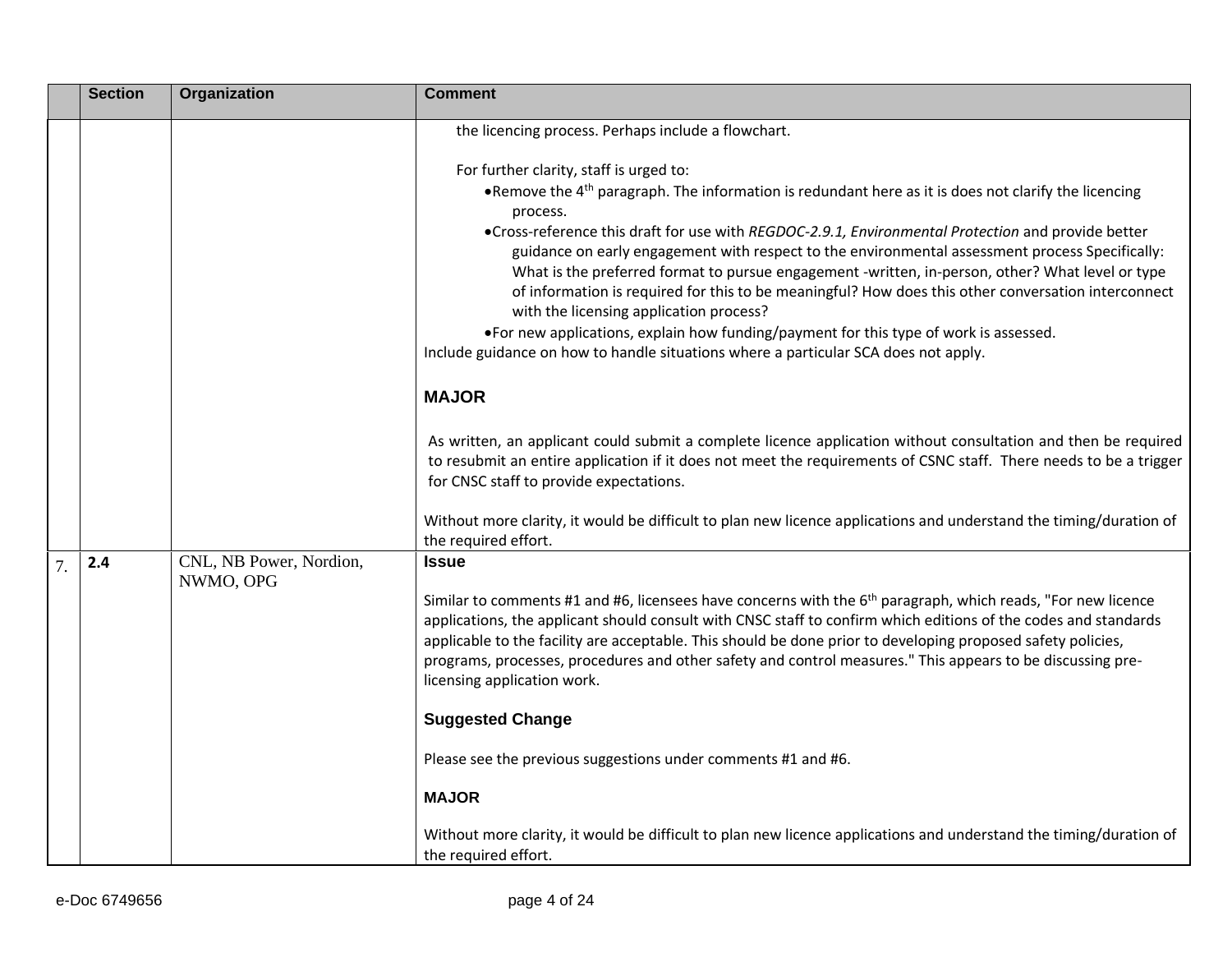|                  | <b>Section</b> | Organization                         | <b>Comment</b>                                                                                                                                                                                                                                                                                                                                                                                                                                                                                                                                                                                                                                                                                                                                                                                                |
|------------------|----------------|--------------------------------------|---------------------------------------------------------------------------------------------------------------------------------------------------------------------------------------------------------------------------------------------------------------------------------------------------------------------------------------------------------------------------------------------------------------------------------------------------------------------------------------------------------------------------------------------------------------------------------------------------------------------------------------------------------------------------------------------------------------------------------------------------------------------------------------------------------------|
|                  |                |                                      | the licencing process. Perhaps include a flowchart.                                                                                                                                                                                                                                                                                                                                                                                                                                                                                                                                                                                                                                                                                                                                                           |
|                  |                |                                      | For further clarity, staff is urged to:<br>• Remove the $4th$ paragraph. The information is redundant here as it is does not clarify the licencing<br>process.<br>•Cross-reference this draft for use with REGDOC-2.9.1, Environmental Protection and provide better<br>guidance on early engagement with respect to the environmental assessment process Specifically:<br>What is the preferred format to pursue engagement -written, in-person, other? What level or type<br>of information is required for this to be meaningful? How does this other conversation interconnect<br>with the licensing application process?<br>•For new applications, explain how funding/payment for this type of work is assessed.<br>Include guidance on how to handle situations where a particular SCA does not apply. |
|                  |                |                                      | <b>MAJOR</b>                                                                                                                                                                                                                                                                                                                                                                                                                                                                                                                                                                                                                                                                                                                                                                                                  |
|                  |                |                                      | As written, an applicant could submit a complete licence application without consultation and then be required<br>to resubmit an entire application if it does not meet the requirements of CSNC staff. There needs to be a trigger<br>for CNSC staff to provide expectations.                                                                                                                                                                                                                                                                                                                                                                                                                                                                                                                                |
|                  |                |                                      | Without more clarity, it would be difficult to plan new licence applications and understand the timing/duration of<br>the required effort.                                                                                                                                                                                                                                                                                                                                                                                                                                                                                                                                                                                                                                                                    |
| $\overline{7}$ . | 2.4            | CNL, NB Power, Nordion,<br>NWMO, OPG | <b>Issue</b>                                                                                                                                                                                                                                                                                                                                                                                                                                                                                                                                                                                                                                                                                                                                                                                                  |
|                  |                |                                      | Similar to comments #1 and #6, licensees have concerns with the 6 <sup>th</sup> paragraph, which reads, "For new licence<br>applications, the applicant should consult with CNSC staff to confirm which editions of the codes and standards<br>applicable to the facility are acceptable. This should be done prior to developing proposed safety policies,<br>programs, processes, procedures and other safety and control measures." This appears to be discussing pre-<br>licensing application work.                                                                                                                                                                                                                                                                                                      |
|                  |                |                                      | <b>Suggested Change</b>                                                                                                                                                                                                                                                                                                                                                                                                                                                                                                                                                                                                                                                                                                                                                                                       |
|                  |                |                                      | Please see the previous suggestions under comments #1 and #6.                                                                                                                                                                                                                                                                                                                                                                                                                                                                                                                                                                                                                                                                                                                                                 |
|                  |                |                                      | <b>MAJOR</b>                                                                                                                                                                                                                                                                                                                                                                                                                                                                                                                                                                                                                                                                                                                                                                                                  |
|                  |                |                                      | Without more clarity, it would be difficult to plan new licence applications and understand the timing/duration of<br>the required effort.                                                                                                                                                                                                                                                                                                                                                                                                                                                                                                                                                                                                                                                                    |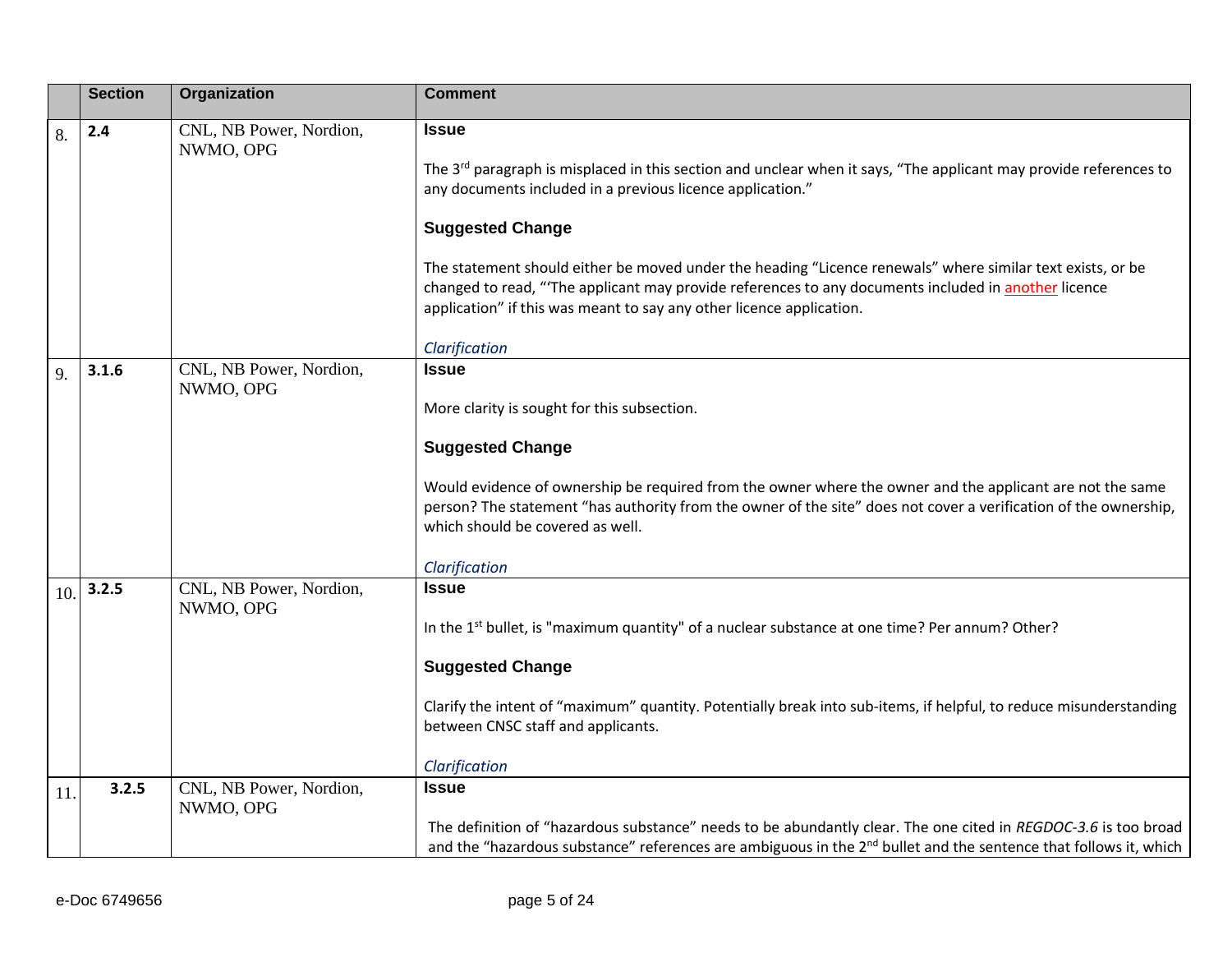|              | <b>Section</b> | Organization                         | <b>Comment</b>                                                                                                                                                                                                                                                                                                                                                                                                                                                                                                               |
|--------------|----------------|--------------------------------------|------------------------------------------------------------------------------------------------------------------------------------------------------------------------------------------------------------------------------------------------------------------------------------------------------------------------------------------------------------------------------------------------------------------------------------------------------------------------------------------------------------------------------|
| 8.           | 2.4            | CNL, NB Power, Nordion,<br>NWMO, OPG | <b>Issue</b><br>The $3^{rd}$ paragraph is misplaced in this section and unclear when it says, "The applicant may provide references to<br>any documents included in a previous licence application."<br><b>Suggested Change</b><br>The statement should either be moved under the heading "Licence renewals" where similar text exists, or be<br>changed to read, "The applicant may provide references to any documents included in another licence<br>application" if this was meant to say any other licence application. |
| $\mathbf{Q}$ | 3.1.6          | CNL, NB Power, Nordion,<br>NWMO, OPG | Clarification<br><b>Issue</b><br>More clarity is sought for this subsection.<br><b>Suggested Change</b><br>Would evidence of ownership be required from the owner where the owner and the applicant are not the same<br>person? The statement "has authority from the owner of the site" does not cover a verification of the ownership,<br>which should be covered as well.<br>Clarification                                                                                                                                |
| 10.          | 3.2.5          | CNL, NB Power, Nordion,<br>NWMO, OPG | <b>Issue</b><br>In the 1 <sup>st</sup> bullet, is "maximum quantity" of a nuclear substance at one time? Per annum? Other?<br><b>Suggested Change</b><br>Clarify the intent of "maximum" quantity. Potentially break into sub-items, if helpful, to reduce misunderstanding<br>between CNSC staff and applicants.<br>Clarification                                                                                                                                                                                           |
| 11           | 3.2.5          | CNL, NB Power, Nordion,<br>NWMO, OPG | <b>Issue</b><br>The definition of "hazardous substance" needs to be abundantly clear. The one cited in REGDOC-3.6 is too broad<br>and the "hazardous substance" references are ambiguous in the 2 <sup>nd</sup> bullet and the sentence that follows it, which                                                                                                                                                                                                                                                               |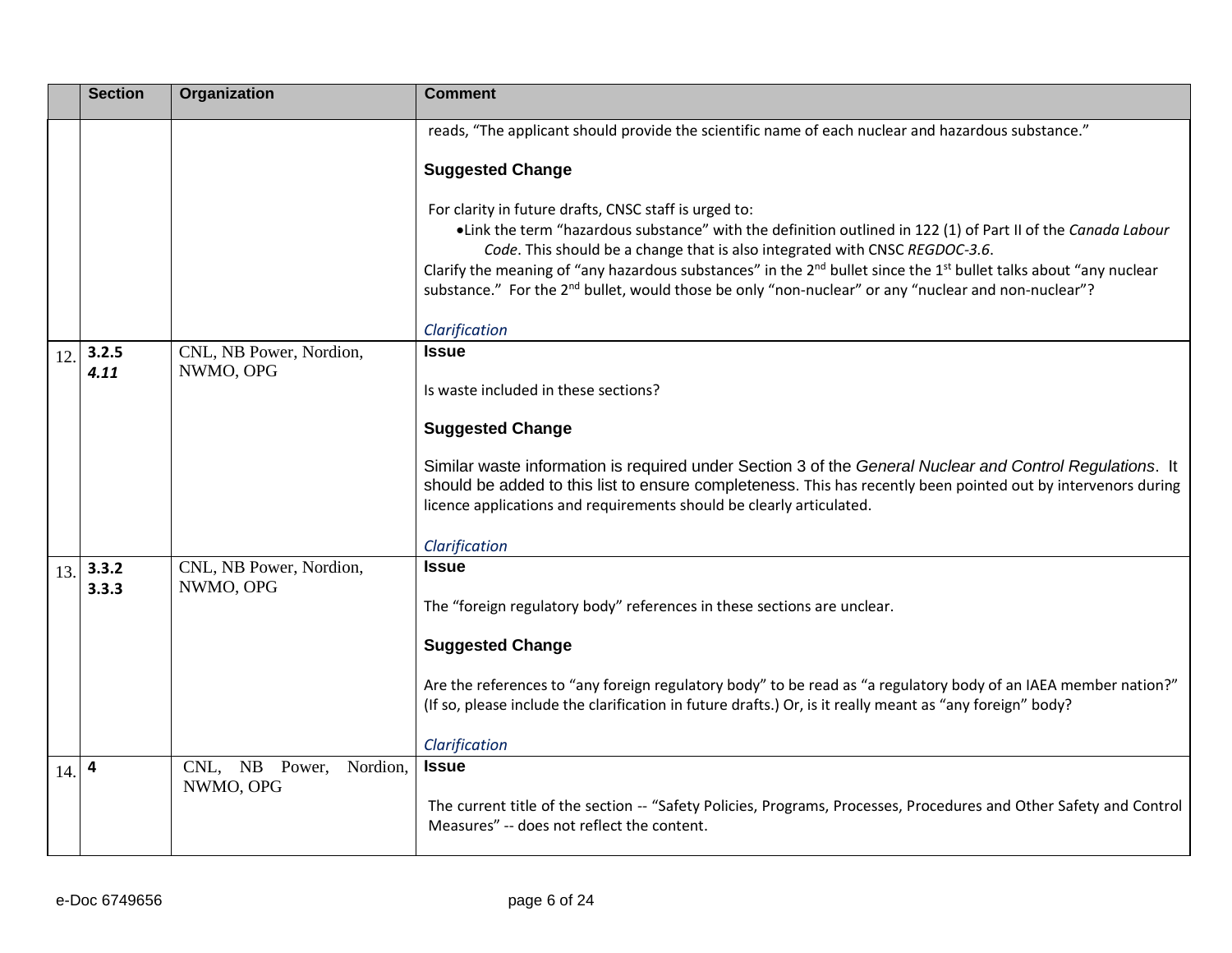|     | <b>Section</b> | Organization               | <b>Comment</b>                                                                                                                                                                                                                                                                                                                                                                                                                                                                                                       |
|-----|----------------|----------------------------|----------------------------------------------------------------------------------------------------------------------------------------------------------------------------------------------------------------------------------------------------------------------------------------------------------------------------------------------------------------------------------------------------------------------------------------------------------------------------------------------------------------------|
|     |                |                            | reads, "The applicant should provide the scientific name of each nuclear and hazardous substance."                                                                                                                                                                                                                                                                                                                                                                                                                   |
|     |                |                            | <b>Suggested Change</b>                                                                                                                                                                                                                                                                                                                                                                                                                                                                                              |
|     |                |                            | For clarity in future drafts, CNSC staff is urged to:<br>•Link the term "hazardous substance" with the definition outlined in 122 (1) of Part II of the Canada Labour<br>Code. This should be a change that is also integrated with CNSC REGDOC-3.6.<br>Clarify the meaning of "any hazardous substances" in the 2 <sup>nd</sup> bullet since the 1 <sup>st</sup> bullet talks about "any nuclear<br>substance." For the 2 <sup>nd</sup> bullet, would those be only "non-nuclear" or any "nuclear and non-nuclear"? |
|     | 3.2.5          | CNL, NB Power, Nordion,    | Clarification<br><b>Issue</b>                                                                                                                                                                                                                                                                                                                                                                                                                                                                                        |
| 12. | 4.11           | NWMO, OPG                  |                                                                                                                                                                                                                                                                                                                                                                                                                                                                                                                      |
|     |                |                            | Is waste included in these sections?                                                                                                                                                                                                                                                                                                                                                                                                                                                                                 |
|     |                |                            | <b>Suggested Change</b>                                                                                                                                                                                                                                                                                                                                                                                                                                                                                              |
|     |                |                            | Similar waste information is required under Section 3 of the General Nuclear and Control Regulations. It<br>should be added to this list to ensure completeness. This has recently been pointed out by intervenors during<br>licence applications and requirements should be clearly articulated.                                                                                                                                                                                                                    |
|     |                |                            | Clarification                                                                                                                                                                                                                                                                                                                                                                                                                                                                                                        |
| 13. | 3.3.2          | CNL, NB Power, Nordion,    | <b>Issue</b>                                                                                                                                                                                                                                                                                                                                                                                                                                                                                                         |
|     | 3.3.3          | NWMO, OPG                  | The "foreign regulatory body" references in these sections are unclear.                                                                                                                                                                                                                                                                                                                                                                                                                                              |
|     |                |                            | <b>Suggested Change</b>                                                                                                                                                                                                                                                                                                                                                                                                                                                                                              |
|     |                |                            | Are the references to "any foreign regulatory body" to be read as "a regulatory body of an IAEA member nation?"<br>(If so, please include the clarification in future drafts.) Or, is it really meant as "any foreign" body?                                                                                                                                                                                                                                                                                         |
|     | 4              | CNL, NB Power,<br>Nordion. | Clarification<br><b>Issue</b>                                                                                                                                                                                                                                                                                                                                                                                                                                                                                        |
| 14. |                | NWMO, OPG                  | The current title of the section -- "Safety Policies, Programs, Processes, Procedures and Other Safety and Control<br>Measures" -- does not reflect the content.                                                                                                                                                                                                                                                                                                                                                     |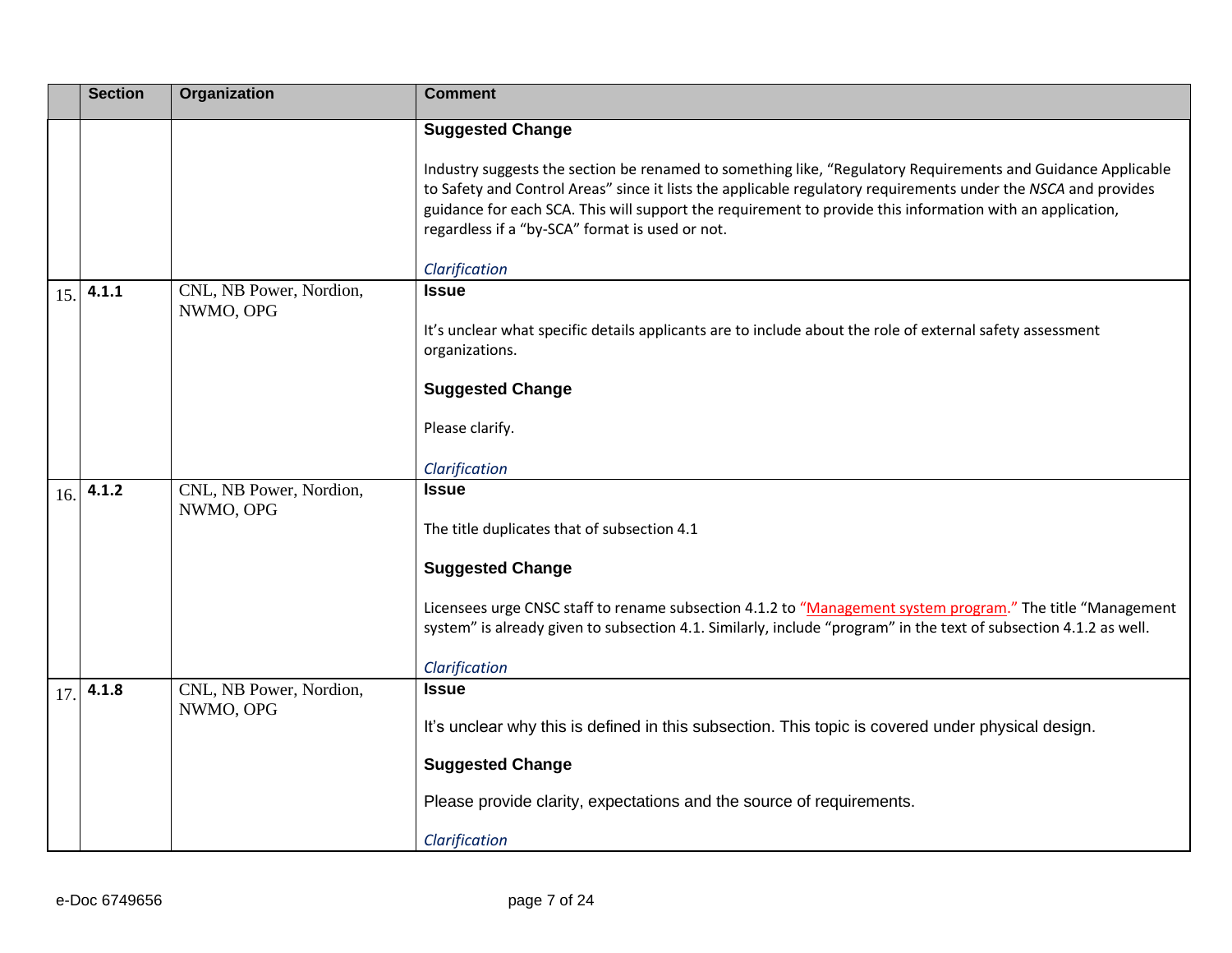|     | <b>Section</b> | Organization                         | <b>Comment</b>                                                                                                                                                                                                                                                                                                                                                                                 |
|-----|----------------|--------------------------------------|------------------------------------------------------------------------------------------------------------------------------------------------------------------------------------------------------------------------------------------------------------------------------------------------------------------------------------------------------------------------------------------------|
|     |                |                                      | <b>Suggested Change</b>                                                                                                                                                                                                                                                                                                                                                                        |
|     |                |                                      | Industry suggests the section be renamed to something like, "Regulatory Requirements and Guidance Applicable<br>to Safety and Control Areas" since it lists the applicable regulatory requirements under the NSCA and provides<br>guidance for each SCA. This will support the requirement to provide this information with an application,<br>regardless if a "by-SCA" format is used or not. |
|     |                |                                      | Clarification                                                                                                                                                                                                                                                                                                                                                                                  |
| 15. | 4.1.1          | CNL, NB Power, Nordion,<br>NWMO, OPG | <b>Issue</b>                                                                                                                                                                                                                                                                                                                                                                                   |
|     |                |                                      | It's unclear what specific details applicants are to include about the role of external safety assessment<br>organizations.                                                                                                                                                                                                                                                                    |
|     |                |                                      | <b>Suggested Change</b>                                                                                                                                                                                                                                                                                                                                                                        |
|     |                |                                      | Please clarify.                                                                                                                                                                                                                                                                                                                                                                                |
|     |                |                                      | Clarification                                                                                                                                                                                                                                                                                                                                                                                  |
| 16. | 4.1.2          | CNL, NB Power, Nordion,              | <b>Issue</b>                                                                                                                                                                                                                                                                                                                                                                                   |
|     |                | NWMO, OPG                            | The title duplicates that of subsection 4.1                                                                                                                                                                                                                                                                                                                                                    |
|     |                |                                      | <b>Suggested Change</b>                                                                                                                                                                                                                                                                                                                                                                        |
|     |                |                                      | Licensees urge CNSC staff to rename subsection 4.1.2 to "Management system program." The title "Management<br>system" is already given to subsection 4.1. Similarly, include "program" in the text of subsection 4.1.2 as well.                                                                                                                                                                |
|     |                |                                      | Clarification                                                                                                                                                                                                                                                                                                                                                                                  |
| 17  | 4.1.8          | CNL, NB Power, Nordion,              | <b>Issue</b>                                                                                                                                                                                                                                                                                                                                                                                   |
|     |                | NWMO, OPG                            | It's unclear why this is defined in this subsection. This topic is covered under physical design.                                                                                                                                                                                                                                                                                              |
|     |                |                                      | <b>Suggested Change</b>                                                                                                                                                                                                                                                                                                                                                                        |
|     |                |                                      | Please provide clarity, expectations and the source of requirements.                                                                                                                                                                                                                                                                                                                           |
|     |                |                                      | Clarification                                                                                                                                                                                                                                                                                                                                                                                  |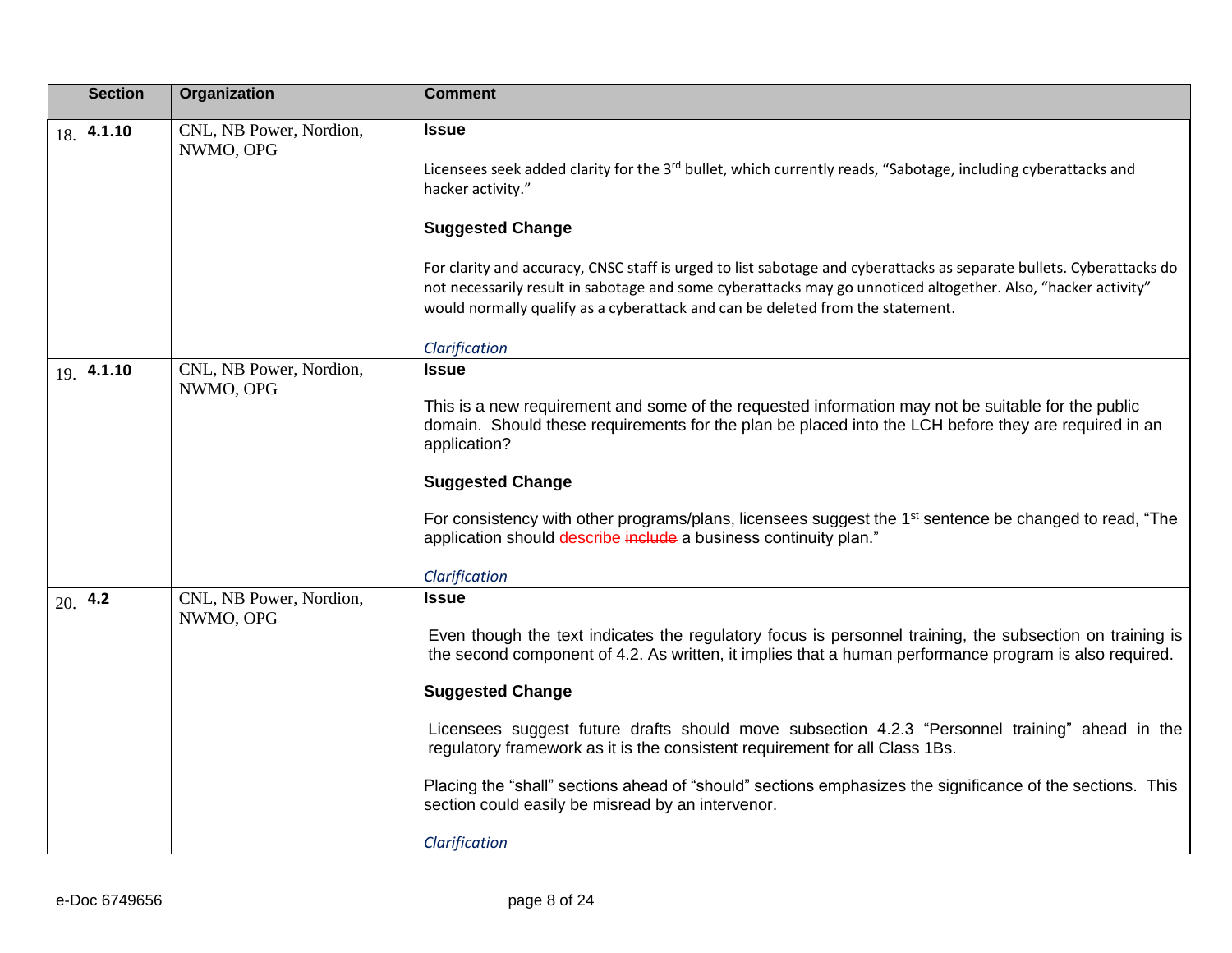|     | <b>Section</b> | Organization                         | <b>Comment</b>                                                                                                                                                                                                                                                                                                                                                                                                                                                                                                                                                                                                                    |
|-----|----------------|--------------------------------------|-----------------------------------------------------------------------------------------------------------------------------------------------------------------------------------------------------------------------------------------------------------------------------------------------------------------------------------------------------------------------------------------------------------------------------------------------------------------------------------------------------------------------------------------------------------------------------------------------------------------------------------|
| 18. | 4.1.10         | CNL, NB Power, Nordion,<br>NWMO, OPG | <b>Issue</b><br>Licensees seek added clarity for the 3rd bullet, which currently reads, "Sabotage, including cyberattacks and<br>hacker activity."<br><b>Suggested Change</b><br>For clarity and accuracy, CNSC staff is urged to list sabotage and cyberattacks as separate bullets. Cyberattacks do<br>not necessarily result in sabotage and some cyberattacks may go unnoticed altogether. Also, "hacker activity"<br>would normally qualify as a cyberattack and can be deleted from the statement.                                                                                                                          |
|     |                |                                      | Clarification                                                                                                                                                                                                                                                                                                                                                                                                                                                                                                                                                                                                                     |
| 19. | 4.1.10         | CNL, NB Power, Nordion,<br>NWMO, OPG | <b>Issue</b><br>This is a new requirement and some of the requested information may not be suitable for the public<br>domain. Should these requirements for the plan be placed into the LCH before they are required in an<br>application?<br><b>Suggested Change</b><br>For consistency with other programs/plans, licensees suggest the 1 <sup>st</sup> sentence be changed to read, "The<br>application should describe include a business continuity plan."<br>Clarification                                                                                                                                                  |
| 20. | 4.2            | CNL, NB Power, Nordion,<br>NWMO, OPG | <b>Issue</b><br>Even though the text indicates the regulatory focus is personnel training, the subsection on training is<br>the second component of 4.2. As written, it implies that a human performance program is also required.<br><b>Suggested Change</b><br>Licensees suggest future drafts should move subsection 4.2.3 "Personnel training" ahead in the<br>regulatory framework as it is the consistent requirement for all Class 1Bs.<br>Placing the "shall" sections ahead of "should" sections emphasizes the significance of the sections. This<br>section could easily be misread by an intervenor.<br>Clarification |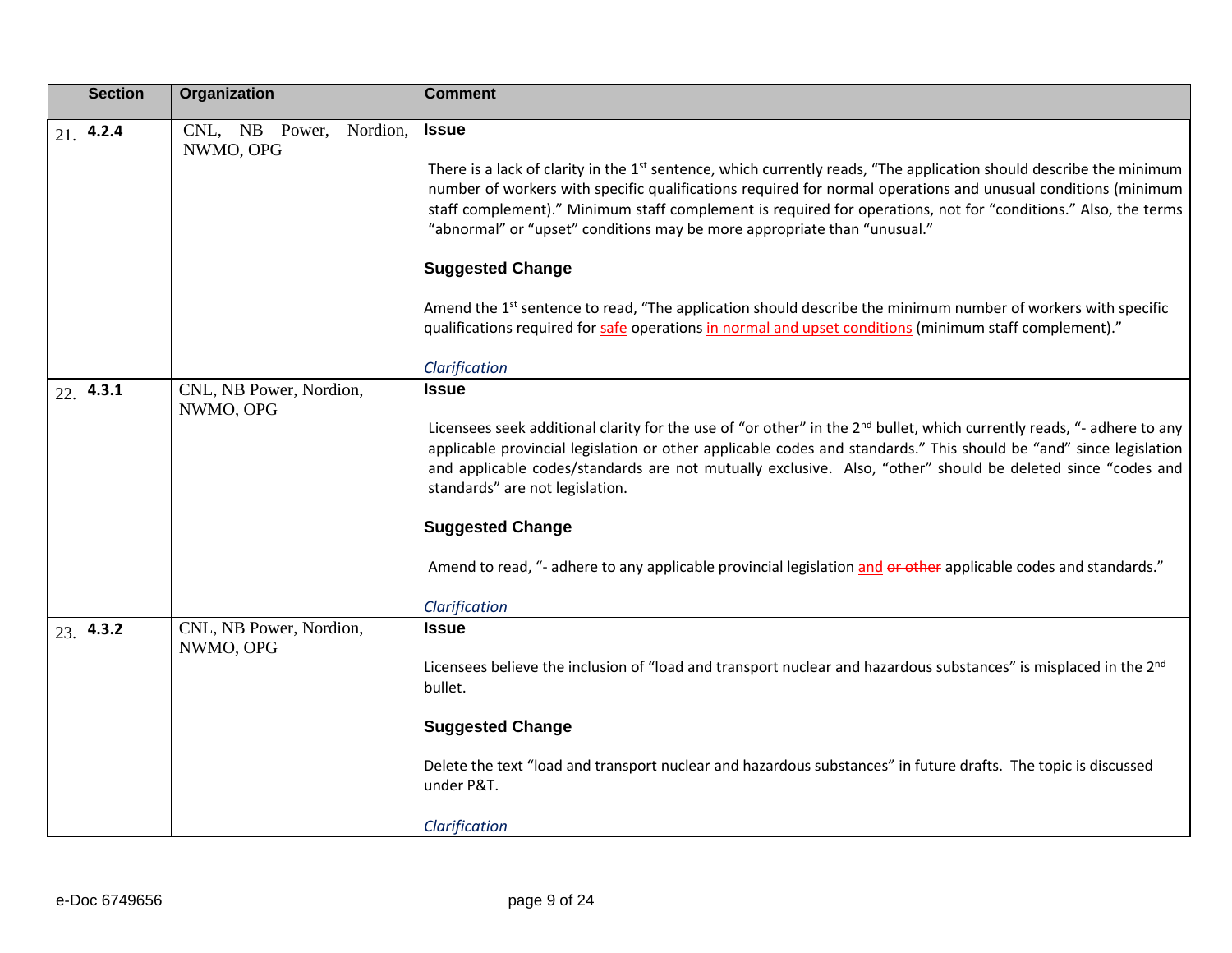|     | <b>Section</b> | Organization                            | <b>Comment</b>                                                                                                                                                                                                                                                                                                                                                                                                                                                                                                                                                                            |
|-----|----------------|-----------------------------------------|-------------------------------------------------------------------------------------------------------------------------------------------------------------------------------------------------------------------------------------------------------------------------------------------------------------------------------------------------------------------------------------------------------------------------------------------------------------------------------------------------------------------------------------------------------------------------------------------|
| 21  | 4.2.4          | CNL, NB Power,<br>Nordion,<br>NWMO, OPG | <b>Issue</b><br>There is a lack of clarity in the 1 <sup>st</sup> sentence, which currently reads, "The application should describe the minimum<br>number of workers with specific qualifications required for normal operations and unusual conditions (minimum<br>staff complement)." Minimum staff complement is required for operations, not for "conditions." Also, the terms<br>"abnormal" or "upset" conditions may be more appropriate than "unusual."<br><b>Suggested Change</b>                                                                                                 |
|     |                |                                         | Amend the 1 <sup>st</sup> sentence to read, "The application should describe the minimum number of workers with specific<br>qualifications required for safe operations in normal and upset conditions (minimum staff complement)."<br>Clarification                                                                                                                                                                                                                                                                                                                                      |
| 22. | 4.3.1          | CNL, NB Power, Nordion,<br>NWMO, OPG    | <b>Issue</b><br>Licensees seek additional clarity for the use of "or other" in the 2 <sup>nd</sup> bullet, which currently reads, "- adhere to any<br>applicable provincial legislation or other applicable codes and standards." This should be "and" since legislation<br>and applicable codes/standards are not mutually exclusive. Also, "other" should be deleted since "codes and<br>standards" are not legislation.<br><b>Suggested Change</b><br>Amend to read, "- adhere to any applicable provincial legislation and or other applicable codes and standards."<br>Clarification |
| 23. | 4.3.2          | CNL, NB Power, Nordion,<br>NWMO, OPG    | <b>Issue</b><br>Licensees believe the inclusion of "load and transport nuclear and hazardous substances" is misplaced in the 2 <sup>nd</sup><br>bullet.<br><b>Suggested Change</b><br>Delete the text "load and transport nuclear and hazardous substances" in future drafts. The topic is discussed<br>under P&T.<br>Clarification                                                                                                                                                                                                                                                       |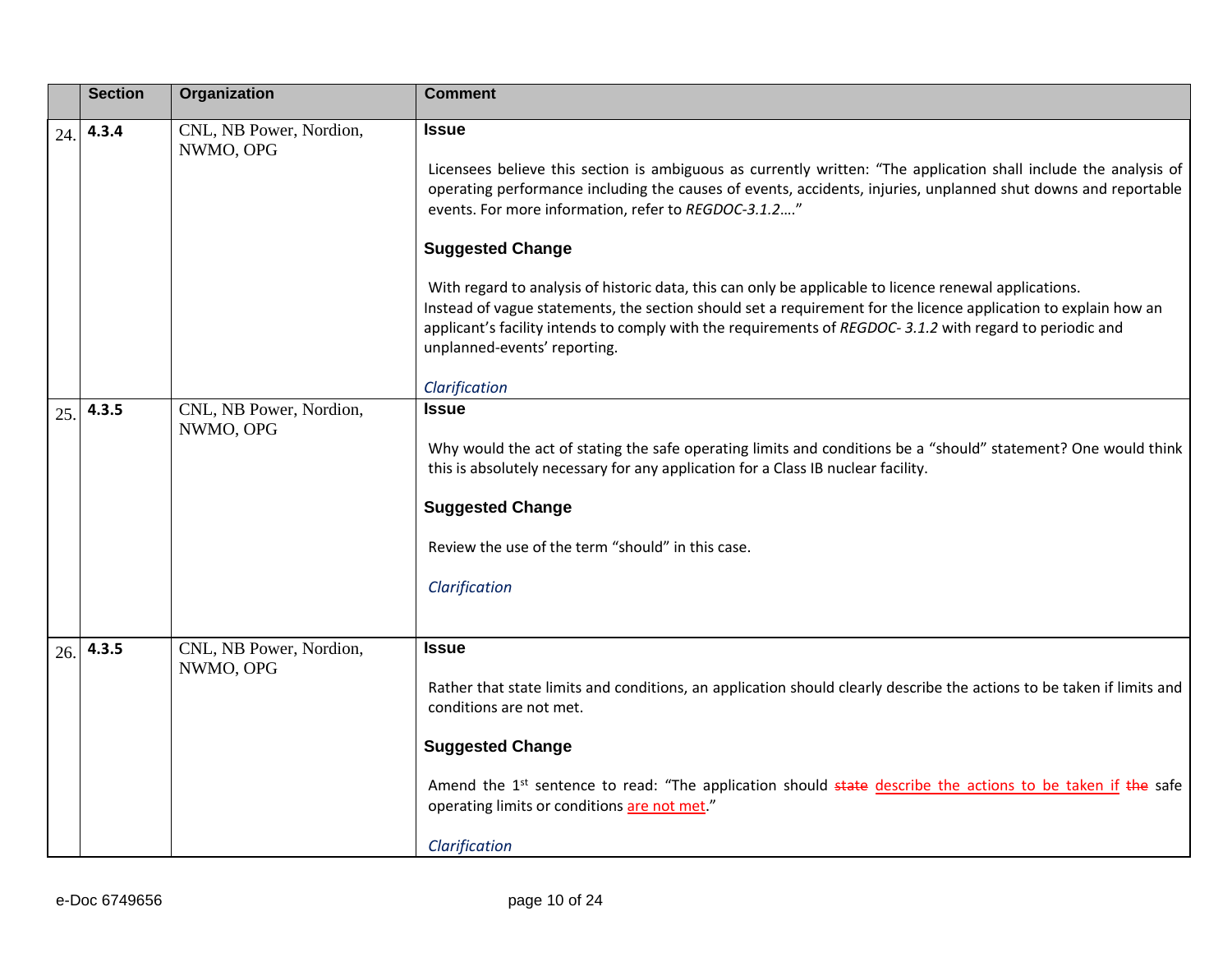|     | <b>Section</b> | Organization                         | <b>Comment</b>                                                                                                                                                                                                                                                                                                                                                                  |
|-----|----------------|--------------------------------------|---------------------------------------------------------------------------------------------------------------------------------------------------------------------------------------------------------------------------------------------------------------------------------------------------------------------------------------------------------------------------------|
| 24. | 4.3.4          | CNL, NB Power, Nordion,<br>NWMO, OPG | <b>Issue</b><br>Licensees believe this section is ambiguous as currently written: "The application shall include the analysis of<br>operating performance including the causes of events, accidents, injuries, unplanned shut downs and reportable<br>events. For more information, refer to REGDOC-3.1.2"                                                                      |
|     |                |                                      | <b>Suggested Change</b>                                                                                                                                                                                                                                                                                                                                                         |
|     |                |                                      | With regard to analysis of historic data, this can only be applicable to licence renewal applications.<br>Instead of vague statements, the section should set a requirement for the licence application to explain how an<br>applicant's facility intends to comply with the requirements of REGDOC-3.1.2 with regard to periodic and<br>unplanned-events' reporting.           |
|     |                |                                      | Clarification                                                                                                                                                                                                                                                                                                                                                                   |
| 25. | 4.3.5          | CNL, NB Power, Nordion,<br>NWMO, OPG | <b>Issue</b><br>Why would the act of stating the safe operating limits and conditions be a "should" statement? One would think<br>this is absolutely necessary for any application for a Class IB nuclear facility.<br><b>Suggested Change</b><br>Review the use of the term "should" in this case.<br>Clarification                                                            |
| 26. | 4.3.5          | CNL, NB Power, Nordion,<br>NWMO, OPG | Issue<br>Rather that state limits and conditions, an application should clearly describe the actions to be taken if limits and<br>conditions are not met.<br><b>Suggested Change</b><br>Amend the 1 <sup>st</sup> sentence to read: "The application should state describe the actions to be taken if the safe<br>operating limits or conditions are not met."<br>Clarification |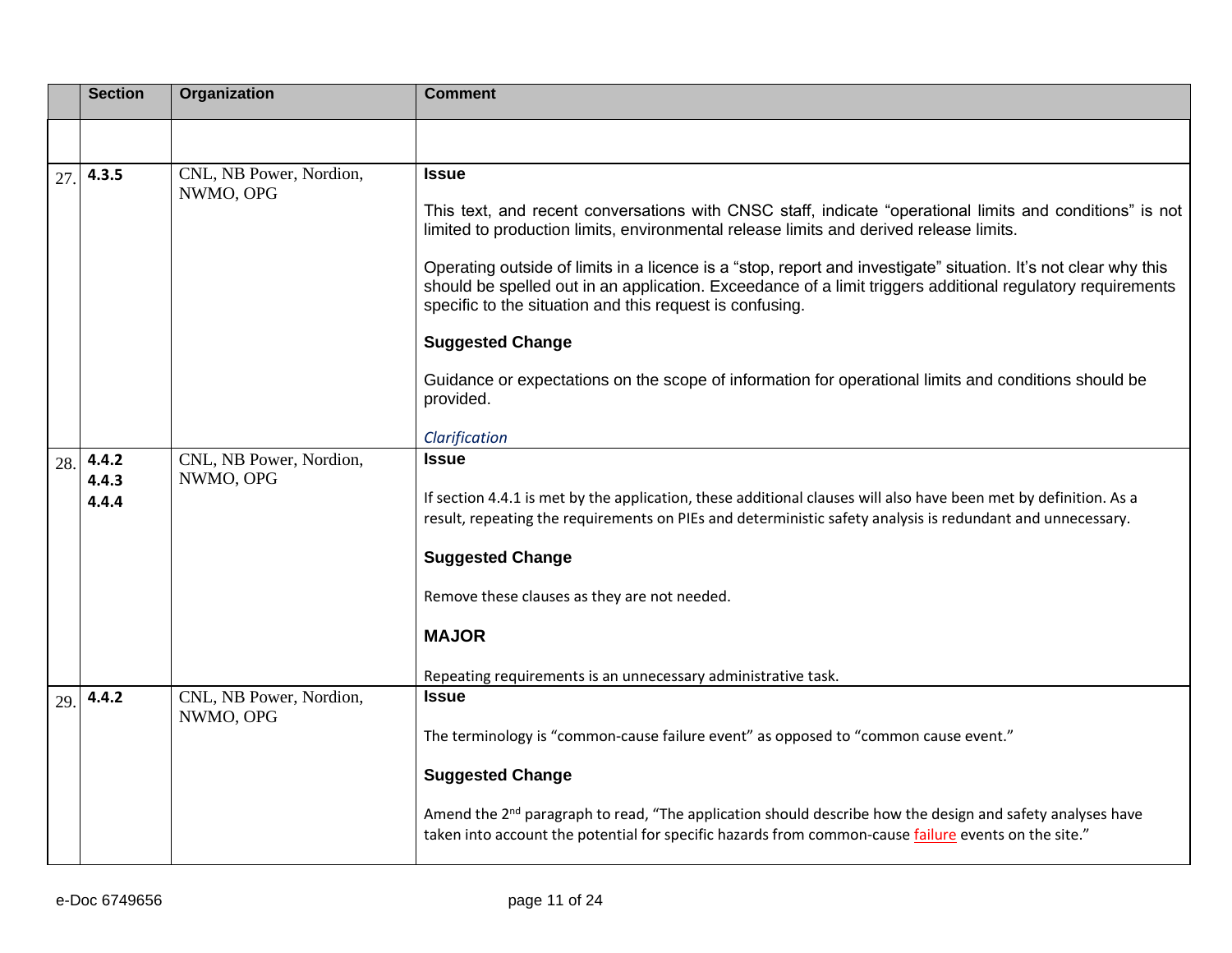|     | <b>Section</b> | Organization                         | <b>Comment</b>                                                                                                                                                                                                                                                                            |
|-----|----------------|--------------------------------------|-------------------------------------------------------------------------------------------------------------------------------------------------------------------------------------------------------------------------------------------------------------------------------------------|
|     |                |                                      |                                                                                                                                                                                                                                                                                           |
| 27. | 4.3.5          | CNL, NB Power, Nordion,<br>NWMO, OPG | <b>Issue</b>                                                                                                                                                                                                                                                                              |
|     |                |                                      | This text, and recent conversations with CNSC staff, indicate "operational limits and conditions" is not<br>limited to production limits, environmental release limits and derived release limits.                                                                                        |
|     |                |                                      | Operating outside of limits in a licence is a "stop, report and investigate" situation. It's not clear why this<br>should be spelled out in an application. Exceedance of a limit triggers additional regulatory requirements<br>specific to the situation and this request is confusing. |
|     |                |                                      | <b>Suggested Change</b>                                                                                                                                                                                                                                                                   |
|     |                |                                      | Guidance or expectations on the scope of information for operational limits and conditions should be<br>provided.                                                                                                                                                                         |
|     |                |                                      | Clarification                                                                                                                                                                                                                                                                             |
| 28. | 4.4.2<br>4.4.3 | CNL, NB Power, Nordion,<br>NWMO, OPG | <b>Issue</b>                                                                                                                                                                                                                                                                              |
|     | 4.4.4          |                                      | If section 4.4.1 is met by the application, these additional clauses will also have been met by definition. As a<br>result, repeating the requirements on PIEs and deterministic safety analysis is redundant and unnecessary.                                                            |
|     |                |                                      | <b>Suggested Change</b>                                                                                                                                                                                                                                                                   |
|     |                |                                      | Remove these clauses as they are not needed.                                                                                                                                                                                                                                              |
|     |                |                                      | <b>MAJOR</b>                                                                                                                                                                                                                                                                              |
|     |                |                                      | Repeating requirements is an unnecessary administrative task.                                                                                                                                                                                                                             |
| 29. | 4.4.2          | CNL, NB Power, Nordion,<br>NWMO, OPG | <b>Issue</b>                                                                                                                                                                                                                                                                              |
|     |                |                                      | The terminology is "common-cause failure event" as opposed to "common cause event."                                                                                                                                                                                                       |
|     |                |                                      | <b>Suggested Change</b>                                                                                                                                                                                                                                                                   |
|     |                |                                      | Amend the 2 <sup>nd</sup> paragraph to read, "The application should describe how the design and safety analyses have<br>taken into account the potential for specific hazards from common-cause failure events on the site."                                                             |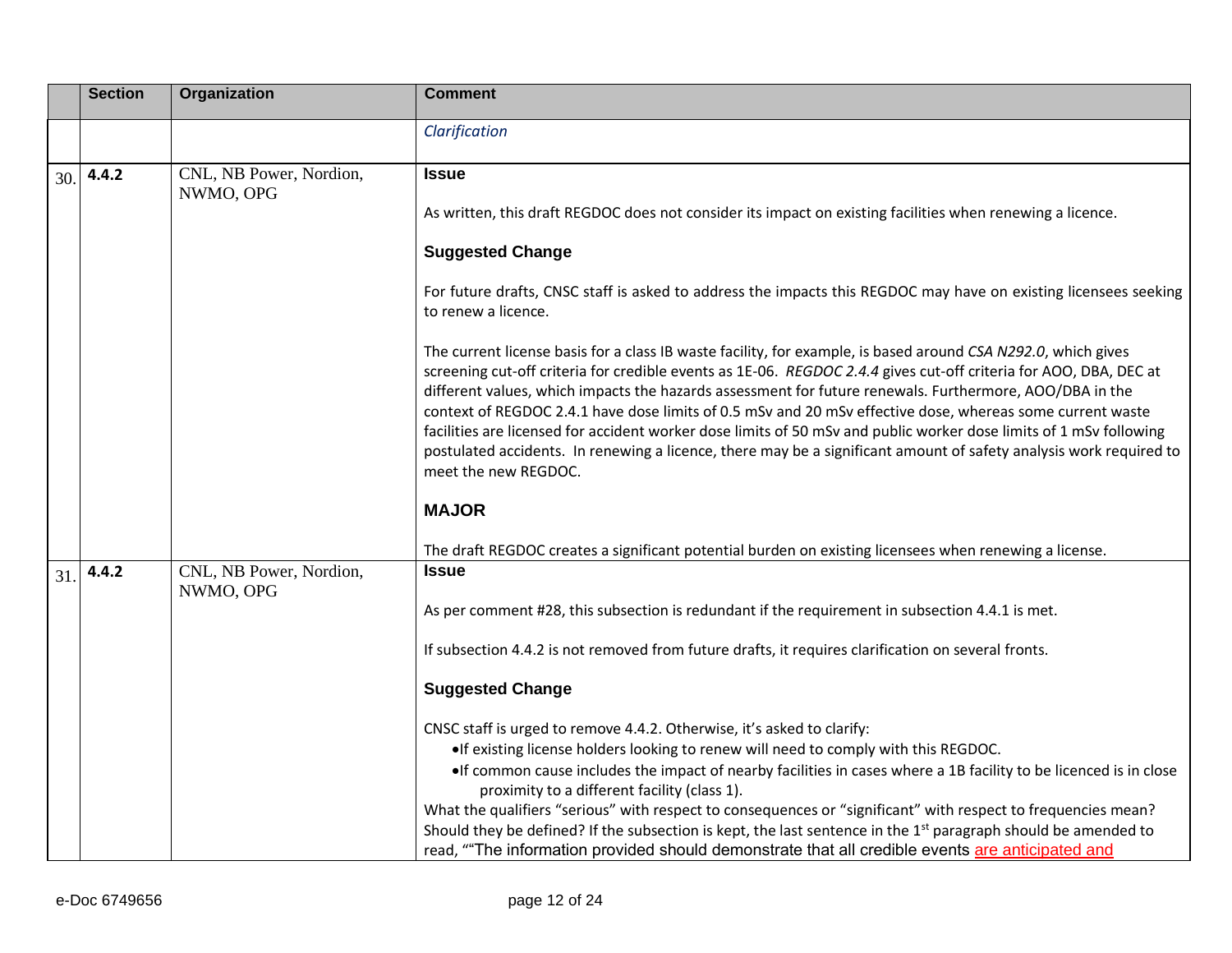|     | <b>Section</b> | <b>Organization</b>                  | <b>Comment</b>                                                                                                                                                                                                                                                                                                                                                                                                                                                                                                                                                                                                                                                                                                                 |
|-----|----------------|--------------------------------------|--------------------------------------------------------------------------------------------------------------------------------------------------------------------------------------------------------------------------------------------------------------------------------------------------------------------------------------------------------------------------------------------------------------------------------------------------------------------------------------------------------------------------------------------------------------------------------------------------------------------------------------------------------------------------------------------------------------------------------|
|     |                |                                      | Clarification                                                                                                                                                                                                                                                                                                                                                                                                                                                                                                                                                                                                                                                                                                                  |
| 30. | 4.4.2          | CNL, NB Power, Nordion,<br>NWMO, OPG | <b>Issue</b>                                                                                                                                                                                                                                                                                                                                                                                                                                                                                                                                                                                                                                                                                                                   |
|     |                |                                      | As written, this draft REGDOC does not consider its impact on existing facilities when renewing a licence.                                                                                                                                                                                                                                                                                                                                                                                                                                                                                                                                                                                                                     |
|     |                |                                      | <b>Suggested Change</b>                                                                                                                                                                                                                                                                                                                                                                                                                                                                                                                                                                                                                                                                                                        |
|     |                |                                      | For future drafts, CNSC staff is asked to address the impacts this REGDOC may have on existing licensees seeking<br>to renew a licence.                                                                                                                                                                                                                                                                                                                                                                                                                                                                                                                                                                                        |
|     |                |                                      | The current license basis for a class IB waste facility, for example, is based around CSA N292.0, which gives<br>screening cut-off criteria for credible events as 1E-06. REGDOC 2.4.4 gives cut-off criteria for AOO, DBA, DEC at<br>different values, which impacts the hazards assessment for future renewals. Furthermore, AOO/DBA in the<br>context of REGDOC 2.4.1 have dose limits of 0.5 mSv and 20 mSv effective dose, whereas some current waste<br>facilities are licensed for accident worker dose limits of 50 mSv and public worker dose limits of 1 mSv following<br>postulated accidents. In renewing a licence, there may be a significant amount of safety analysis work required to<br>meet the new REGDOC. |
|     |                |                                      | <b>MAJOR</b>                                                                                                                                                                                                                                                                                                                                                                                                                                                                                                                                                                                                                                                                                                                   |
|     |                |                                      | The draft REGDOC creates a significant potential burden on existing licensees when renewing a license.                                                                                                                                                                                                                                                                                                                                                                                                                                                                                                                                                                                                                         |
| 31. | 4.4.2          | CNL, NB Power, Nordion,<br>NWMO, OPG | <b>Issue</b>                                                                                                                                                                                                                                                                                                                                                                                                                                                                                                                                                                                                                                                                                                                   |
|     |                |                                      | As per comment #28, this subsection is redundant if the requirement in subsection 4.4.1 is met.                                                                                                                                                                                                                                                                                                                                                                                                                                                                                                                                                                                                                                |
|     |                |                                      | If subsection 4.4.2 is not removed from future drafts, it requires clarification on several fronts.                                                                                                                                                                                                                                                                                                                                                                                                                                                                                                                                                                                                                            |
|     |                |                                      | <b>Suggested Change</b>                                                                                                                                                                                                                                                                                                                                                                                                                                                                                                                                                                                                                                                                                                        |
|     |                |                                      | CNSC staff is urged to remove 4.4.2. Otherwise, it's asked to clarify:                                                                                                                                                                                                                                                                                                                                                                                                                                                                                                                                                                                                                                                         |
|     |                |                                      | •If existing license holders looking to renew will need to comply with this REGDOC.<br>. If common cause includes the impact of nearby facilities in cases where a 1B facility to be licenced is in close                                                                                                                                                                                                                                                                                                                                                                                                                                                                                                                      |
|     |                |                                      | proximity to a different facility (class 1).                                                                                                                                                                                                                                                                                                                                                                                                                                                                                                                                                                                                                                                                                   |
|     |                |                                      | What the qualifiers "serious" with respect to consequences or "significant" with respect to frequencies mean?<br>Should they be defined? If the subsection is kept, the last sentence in the 1 <sup>st</sup> paragraph should be amended to                                                                                                                                                                                                                                                                                                                                                                                                                                                                                    |
|     |                |                                      | read, "The information provided should demonstrate that all credible events are anticipated and                                                                                                                                                                                                                                                                                                                                                                                                                                                                                                                                                                                                                                |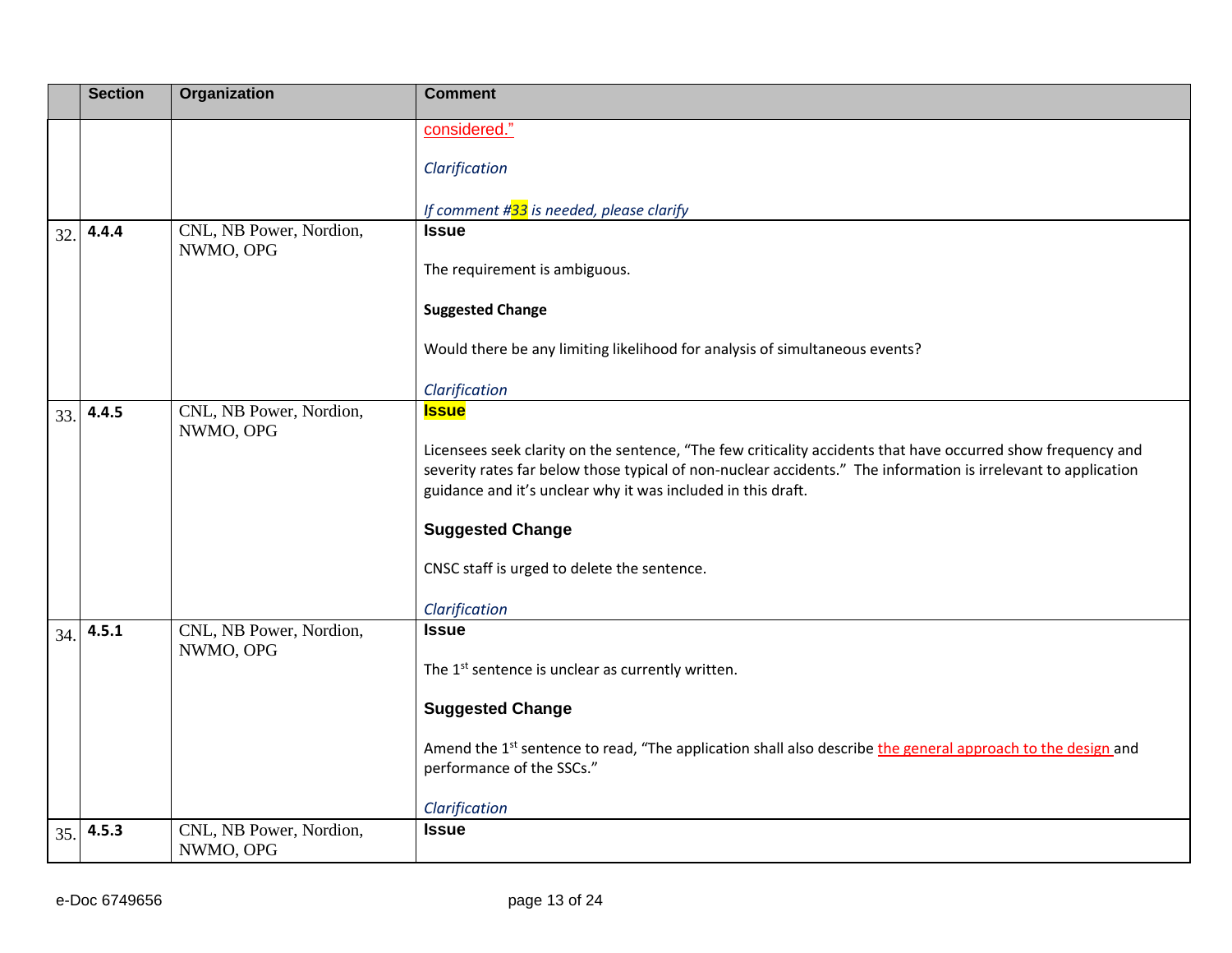|     | <b>Section</b> | Organization                         | <b>Comment</b>                                                                                                                                                                                                                                                                                 |
|-----|----------------|--------------------------------------|------------------------------------------------------------------------------------------------------------------------------------------------------------------------------------------------------------------------------------------------------------------------------------------------|
|     |                |                                      | considered."                                                                                                                                                                                                                                                                                   |
|     |                |                                      | Clarification                                                                                                                                                                                                                                                                                  |
|     |                |                                      | If comment #33 is needed, please clarify                                                                                                                                                                                                                                                       |
| 32. | 4.4.4          | CNL, NB Power, Nordion,<br>NWMO, OPG | <b>Issue</b>                                                                                                                                                                                                                                                                                   |
|     |                |                                      | The requirement is ambiguous.                                                                                                                                                                                                                                                                  |
|     |                |                                      | <b>Suggested Change</b>                                                                                                                                                                                                                                                                        |
|     |                |                                      | Would there be any limiting likelihood for analysis of simultaneous events?                                                                                                                                                                                                                    |
|     |                |                                      | Clarification                                                                                                                                                                                                                                                                                  |
| 33. | 4.4.5          | CNL, NB Power, Nordion,<br>NWMO, OPG | <b>Issue</b>                                                                                                                                                                                                                                                                                   |
|     |                |                                      | Licensees seek clarity on the sentence, "The few criticality accidents that have occurred show frequency and<br>severity rates far below those typical of non-nuclear accidents." The information is irrelevant to application<br>guidance and it's unclear why it was included in this draft. |
|     |                |                                      | <b>Suggested Change</b>                                                                                                                                                                                                                                                                        |
|     |                |                                      | CNSC staff is urged to delete the sentence.                                                                                                                                                                                                                                                    |
|     |                |                                      | Clarification                                                                                                                                                                                                                                                                                  |
| 34. | 4.5.1          | CNL, NB Power, Nordion,<br>NWMO, OPG | <b>Issue</b>                                                                                                                                                                                                                                                                                   |
|     |                |                                      | The 1 <sup>st</sup> sentence is unclear as currently written.                                                                                                                                                                                                                                  |
|     |                |                                      | <b>Suggested Change</b>                                                                                                                                                                                                                                                                        |
|     |                |                                      | Amend the 1 <sup>st</sup> sentence to read, "The application shall also describe the general approach to the design and<br>performance of the SSCs."                                                                                                                                           |
|     |                |                                      | Clarification                                                                                                                                                                                                                                                                                  |
| 35. | 4.5.3          | CNL, NB Power, Nordion,<br>NWMO, OPG | <b>Issue</b>                                                                                                                                                                                                                                                                                   |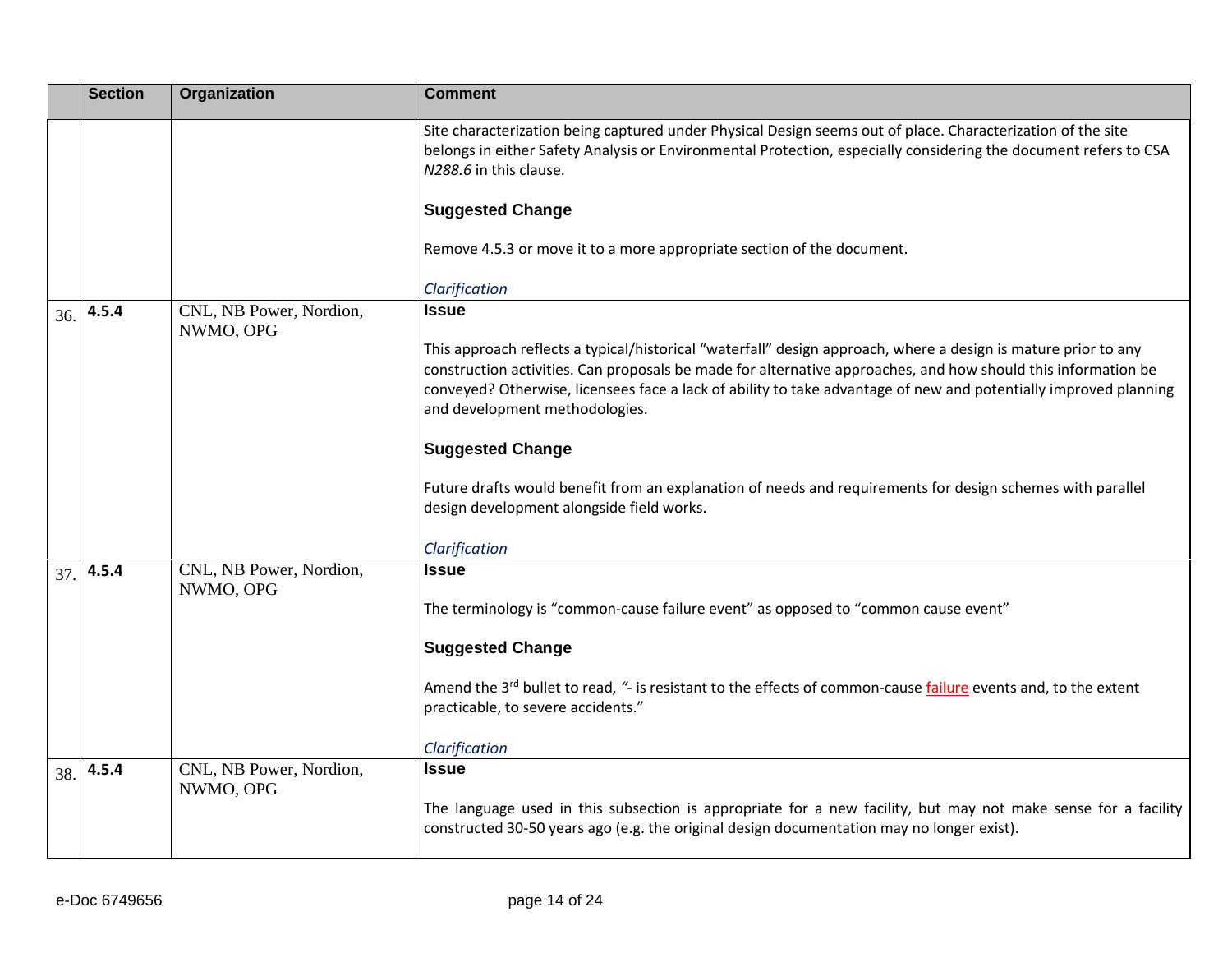|     | <b>Section</b> | Organization                         | <b>Comment</b>                                                                                                                                                                                                                                                                                                                                                                        |
|-----|----------------|--------------------------------------|---------------------------------------------------------------------------------------------------------------------------------------------------------------------------------------------------------------------------------------------------------------------------------------------------------------------------------------------------------------------------------------|
|     |                |                                      | Site characterization being captured under Physical Design seems out of place. Characterization of the site<br>belongs in either Safety Analysis or Environmental Protection, especially considering the document refers to CSA<br>N288.6 in this clause.                                                                                                                             |
|     |                |                                      | <b>Suggested Change</b>                                                                                                                                                                                                                                                                                                                                                               |
|     |                |                                      | Remove 4.5.3 or move it to a more appropriate section of the document.                                                                                                                                                                                                                                                                                                                |
|     |                |                                      | Clarification                                                                                                                                                                                                                                                                                                                                                                         |
| 36. | 4.5.4          | CNL, NB Power, Nordion,<br>NWMO, OPG | <b>Issue</b>                                                                                                                                                                                                                                                                                                                                                                          |
|     |                |                                      | This approach reflects a typical/historical "waterfall" design approach, where a design is mature prior to any<br>construction activities. Can proposals be made for alternative approaches, and how should this information be<br>conveyed? Otherwise, licensees face a lack of ability to take advantage of new and potentially improved planning<br>and development methodologies. |
|     |                |                                      | <b>Suggested Change</b>                                                                                                                                                                                                                                                                                                                                                               |
|     |                |                                      | Future drafts would benefit from an explanation of needs and requirements for design schemes with parallel<br>design development alongside field works.                                                                                                                                                                                                                               |
|     |                |                                      | Clarification                                                                                                                                                                                                                                                                                                                                                                         |
| 37. | 4.5.4          | CNL, NB Power, Nordion,<br>NWMO, OPG | <b>Issue</b>                                                                                                                                                                                                                                                                                                                                                                          |
|     |                |                                      | The terminology is "common-cause failure event" as opposed to "common cause event"                                                                                                                                                                                                                                                                                                    |
|     |                |                                      | <b>Suggested Change</b>                                                                                                                                                                                                                                                                                                                                                               |
|     |                |                                      | Amend the 3 <sup>rd</sup> bullet to read, "- is resistant to the effects of common-cause failure events and, to the extent<br>practicable, to severe accidents."                                                                                                                                                                                                                      |
|     |                |                                      | Clarification                                                                                                                                                                                                                                                                                                                                                                         |
| 38. | 4.5.4          | CNL, NB Power, Nordion,<br>NWMO, OPG | <b>Issue</b><br>The language used in this subsection is appropriate for a new facility, but may not make sense for a facility<br>constructed 30-50 years ago (e.g. the original design documentation may no longer exist).                                                                                                                                                            |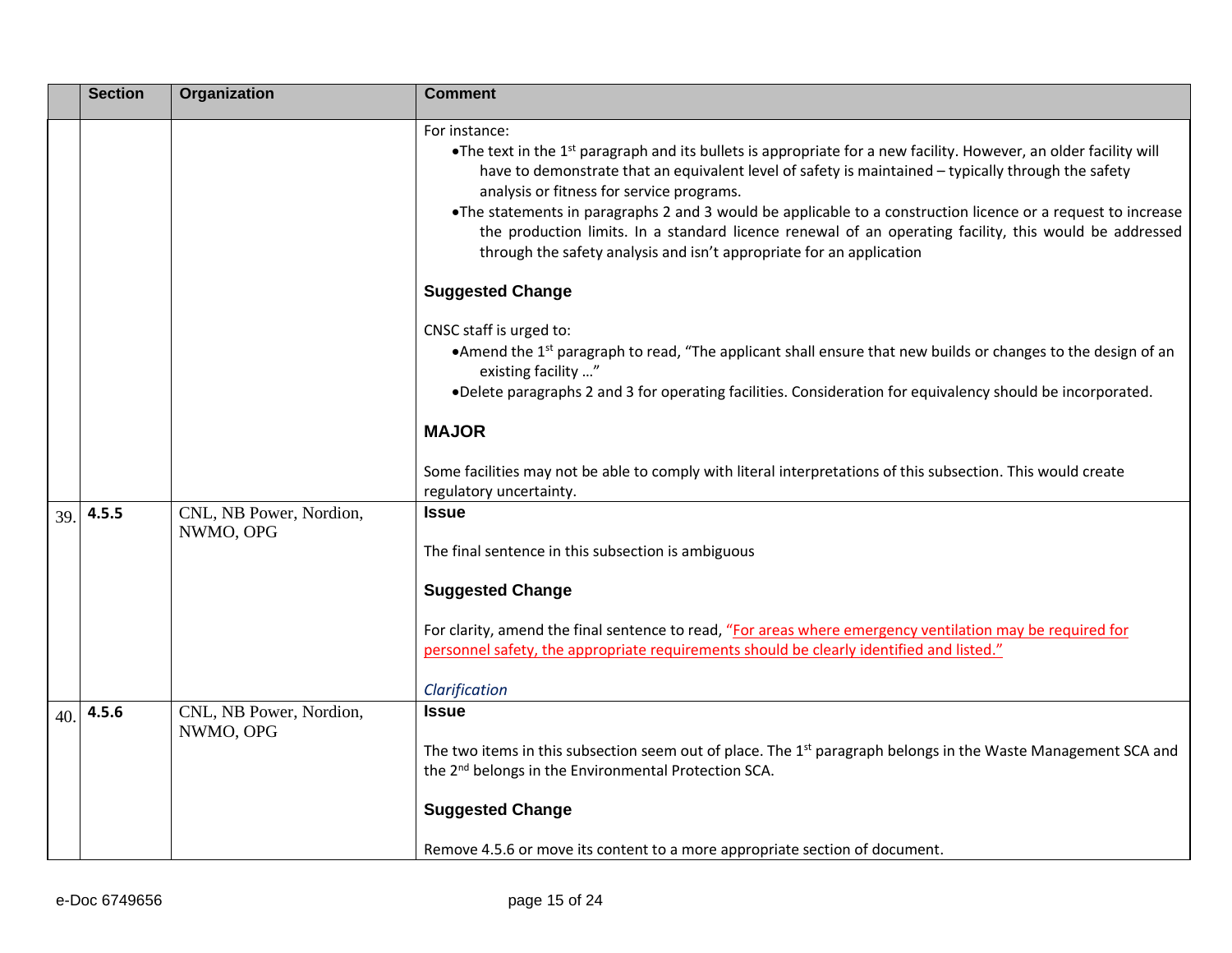|     | <b>Section</b> | Organization                         | <b>Comment</b>                                                                                                                                                                                                                                                                                                                                                                                                                                                                                                                                                                                       |
|-----|----------------|--------------------------------------|------------------------------------------------------------------------------------------------------------------------------------------------------------------------------------------------------------------------------------------------------------------------------------------------------------------------------------------------------------------------------------------------------------------------------------------------------------------------------------------------------------------------------------------------------------------------------------------------------|
|     |                |                                      | For instance:<br>•The text in the 1 <sup>st</sup> paragraph and its bullets is appropriate for a new facility. However, an older facility will<br>have to demonstrate that an equivalent level of safety is maintained - typically through the safety<br>analysis or fitness for service programs.<br>•The statements in paragraphs 2 and 3 would be applicable to a construction licence or a request to increase<br>the production limits. In a standard licence renewal of an operating facility, this would be addressed<br>through the safety analysis and isn't appropriate for an application |
|     |                |                                      | <b>Suggested Change</b>                                                                                                                                                                                                                                                                                                                                                                                                                                                                                                                                                                              |
|     |                |                                      | CNSC staff is urged to:<br>•Amend the 1 <sup>st</sup> paragraph to read, "The applicant shall ensure that new builds or changes to the design of an<br>existing facility "<br>•Delete paragraphs 2 and 3 for operating facilities. Consideration for equivalency should be incorporated.                                                                                                                                                                                                                                                                                                             |
|     |                |                                      | <b>MAJOR</b>                                                                                                                                                                                                                                                                                                                                                                                                                                                                                                                                                                                         |
|     |                |                                      | Some facilities may not be able to comply with literal interpretations of this subsection. This would create<br>regulatory uncertainty.                                                                                                                                                                                                                                                                                                                                                                                                                                                              |
| 39. | 4.5.5          | CNL, NB Power, Nordion,<br>NWMO, OPG | <b>Issue</b><br>The final sentence in this subsection is ambiguous                                                                                                                                                                                                                                                                                                                                                                                                                                                                                                                                   |
|     |                |                                      | <b>Suggested Change</b>                                                                                                                                                                                                                                                                                                                                                                                                                                                                                                                                                                              |
|     |                |                                      | For clarity, amend the final sentence to read, "For areas where emergency ventilation may be required for<br>personnel safety, the appropriate requirements should be clearly identified and listed."                                                                                                                                                                                                                                                                                                                                                                                                |
|     |                |                                      | Clarification                                                                                                                                                                                                                                                                                                                                                                                                                                                                                                                                                                                        |
| 40. | 4.5.6          | CNL, NB Power, Nordion,<br>NWMO, OPG | <b>Issue</b><br>The two items in this subsection seem out of place. The 1 <sup>st</sup> paragraph belongs in the Waste Management SCA and                                                                                                                                                                                                                                                                                                                                                                                                                                                            |
|     |                |                                      | the 2 <sup>nd</sup> belongs in the Environmental Protection SCA.                                                                                                                                                                                                                                                                                                                                                                                                                                                                                                                                     |
|     |                |                                      | <b>Suggested Change</b>                                                                                                                                                                                                                                                                                                                                                                                                                                                                                                                                                                              |
|     |                |                                      | Remove 4.5.6 or move its content to a more appropriate section of document.                                                                                                                                                                                                                                                                                                                                                                                                                                                                                                                          |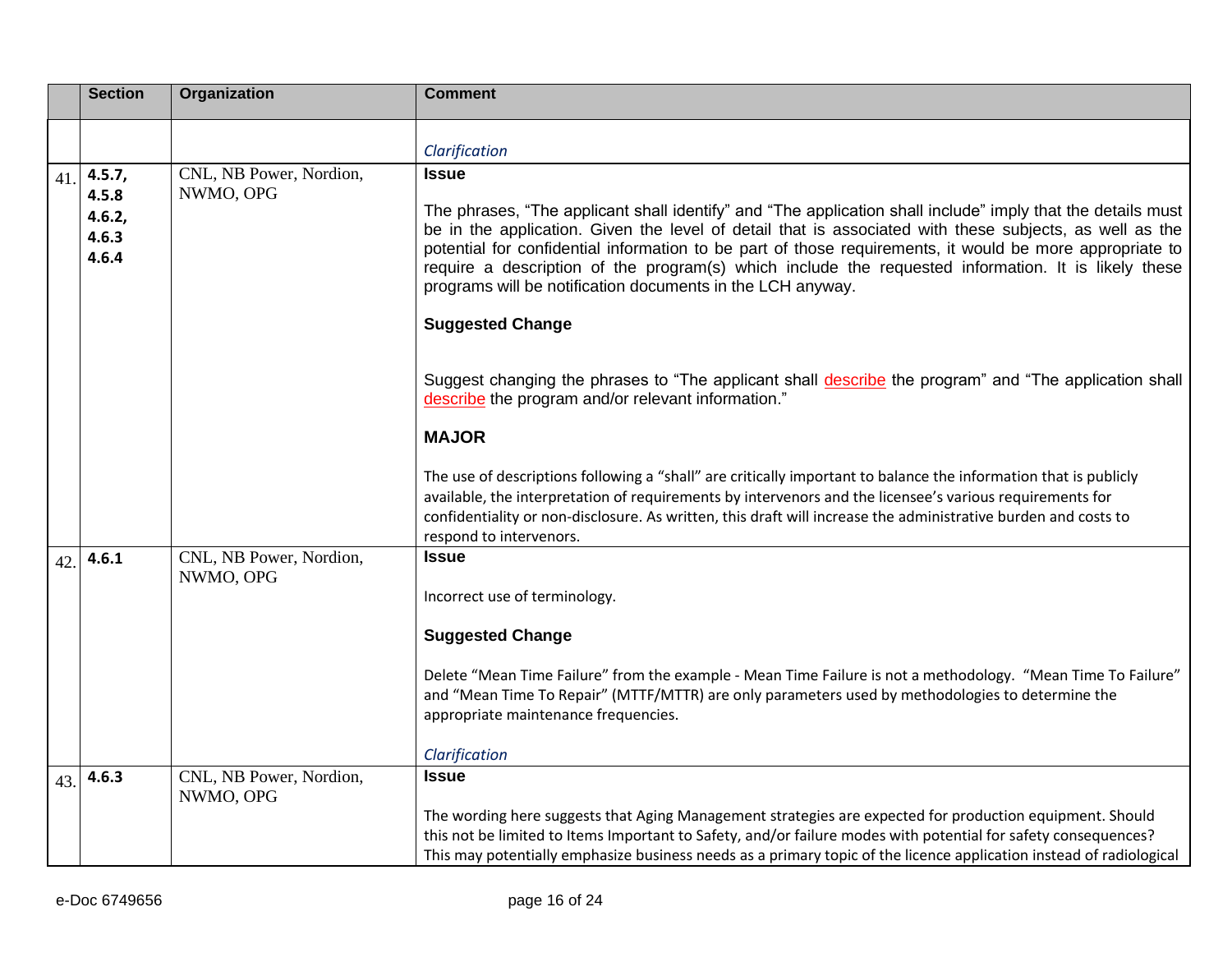|     | <b>Section</b>           | Organization                         | <b>Comment</b>                                                                                                                                                                                                                                                                                                                                                                                                                                                                                          |
|-----|--------------------------|--------------------------------------|---------------------------------------------------------------------------------------------------------------------------------------------------------------------------------------------------------------------------------------------------------------------------------------------------------------------------------------------------------------------------------------------------------------------------------------------------------------------------------------------------------|
|     |                          |                                      | Clarification                                                                                                                                                                                                                                                                                                                                                                                                                                                                                           |
| 41. | 4.5.7,<br>4.5.8          | CNL, NB Power, Nordion,<br>NWMO, OPG | <b>Issue</b>                                                                                                                                                                                                                                                                                                                                                                                                                                                                                            |
|     | 4.6.2,<br>4.6.3<br>4.6.4 |                                      | The phrases, "The applicant shall identify" and "The application shall include" imply that the details must<br>be in the application. Given the level of detail that is associated with these subjects, as well as the<br>potential for confidential information to be part of those requirements, it would be more appropriate to<br>require a description of the program(s) which include the requested information. It is likely these<br>programs will be notification documents in the LCH anyway. |
|     |                          |                                      | <b>Suggested Change</b>                                                                                                                                                                                                                                                                                                                                                                                                                                                                                 |
|     |                          |                                      | Suggest changing the phrases to "The applicant shall describe the program" and "The application shall<br>describe the program and/or relevant information."                                                                                                                                                                                                                                                                                                                                             |
|     |                          |                                      | <b>MAJOR</b>                                                                                                                                                                                                                                                                                                                                                                                                                                                                                            |
|     |                          |                                      | The use of descriptions following a "shall" are critically important to balance the information that is publicly<br>available, the interpretation of requirements by intervenors and the licensee's various requirements for<br>confidentiality or non-disclosure. As written, this draft will increase the administrative burden and costs to<br>respond to intervenors.                                                                                                                               |
| 42. | 4.6.1                    | CNL, NB Power, Nordion,<br>NWMO, OPG | <b>Issue</b>                                                                                                                                                                                                                                                                                                                                                                                                                                                                                            |
|     |                          |                                      | Incorrect use of terminology.                                                                                                                                                                                                                                                                                                                                                                                                                                                                           |
|     |                          |                                      | <b>Suggested Change</b>                                                                                                                                                                                                                                                                                                                                                                                                                                                                                 |
|     |                          |                                      | Delete "Mean Time Failure" from the example - Mean Time Failure is not a methodology. "Mean Time To Failure"<br>and "Mean Time To Repair" (MTTF/MTTR) are only parameters used by methodologies to determine the<br>appropriate maintenance frequencies.                                                                                                                                                                                                                                                |
|     |                          |                                      | Clarification                                                                                                                                                                                                                                                                                                                                                                                                                                                                                           |
| 43. | 4.6.3                    | CNL, NB Power, Nordion,<br>NWMO, OPG | <b>Issue</b>                                                                                                                                                                                                                                                                                                                                                                                                                                                                                            |
|     |                          |                                      | The wording here suggests that Aging Management strategies are expected for production equipment. Should<br>this not be limited to Items Important to Safety, and/or failure modes with potential for safety consequences?<br>This may potentially emphasize business needs as a primary topic of the licence application instead of radiological                                                                                                                                                       |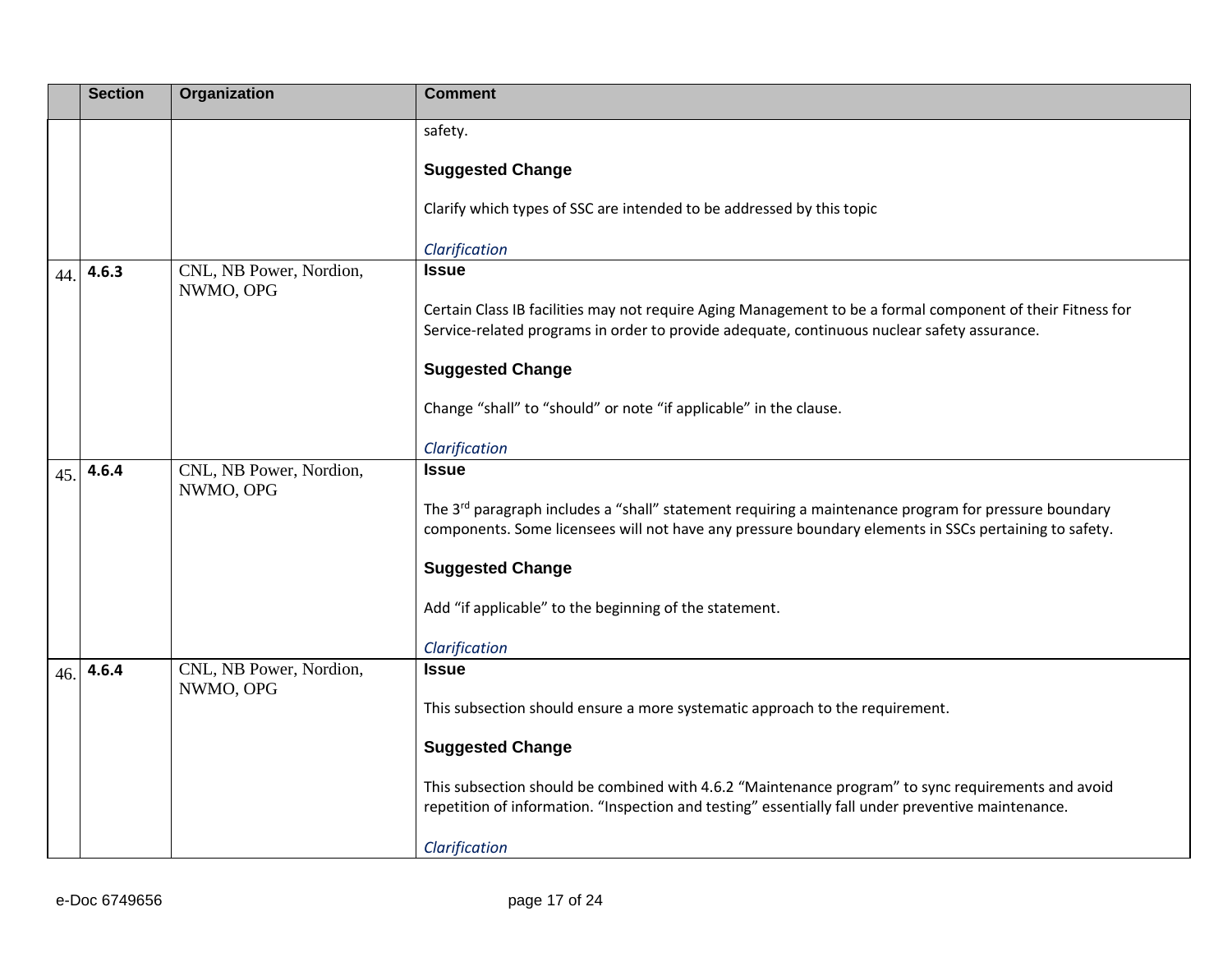|     | <b>Section</b> | Organization                         | <b>Comment</b>                                                                                                                                                                                                            |
|-----|----------------|--------------------------------------|---------------------------------------------------------------------------------------------------------------------------------------------------------------------------------------------------------------------------|
|     |                |                                      | safety.                                                                                                                                                                                                                   |
|     |                |                                      | <b>Suggested Change</b>                                                                                                                                                                                                   |
|     |                |                                      | Clarify which types of SSC are intended to be addressed by this topic                                                                                                                                                     |
|     |                |                                      | Clarification                                                                                                                                                                                                             |
| 44. | 4.6.3          | CNL, NB Power, Nordion,<br>NWMO, OPG | <b>Issue</b>                                                                                                                                                                                                              |
|     |                |                                      | Certain Class IB facilities may not require Aging Management to be a formal component of their Fitness for<br>Service-related programs in order to provide adequate, continuous nuclear safety assurance.                 |
|     |                |                                      | <b>Suggested Change</b>                                                                                                                                                                                                   |
|     |                |                                      | Change "shall" to "should" or note "if applicable" in the clause.                                                                                                                                                         |
|     |                |                                      | Clarification                                                                                                                                                                                                             |
| 45. | 4.6.4          | CNL, NB Power, Nordion,<br>NWMO, OPG | <b>Issue</b>                                                                                                                                                                                                              |
|     |                |                                      | The 3 <sup>rd</sup> paragraph includes a "shall" statement requiring a maintenance program for pressure boundary<br>components. Some licensees will not have any pressure boundary elements in SSCs pertaining to safety. |
|     |                |                                      | <b>Suggested Change</b>                                                                                                                                                                                                   |
|     |                |                                      | Add "if applicable" to the beginning of the statement.                                                                                                                                                                    |
|     |                |                                      | Clarification                                                                                                                                                                                                             |
| 46. | 4.6.4          | CNL, NB Power, Nordion,<br>NWMO, OPG | <b>Issue</b>                                                                                                                                                                                                              |
|     |                |                                      | This subsection should ensure a more systematic approach to the requirement.                                                                                                                                              |
|     |                |                                      | <b>Suggested Change</b>                                                                                                                                                                                                   |
|     |                |                                      | This subsection should be combined with 4.6.2 "Maintenance program" to sync requirements and avoid<br>repetition of information. "Inspection and testing" essentially fall under preventive maintenance.                  |
|     |                |                                      | Clarification                                                                                                                                                                                                             |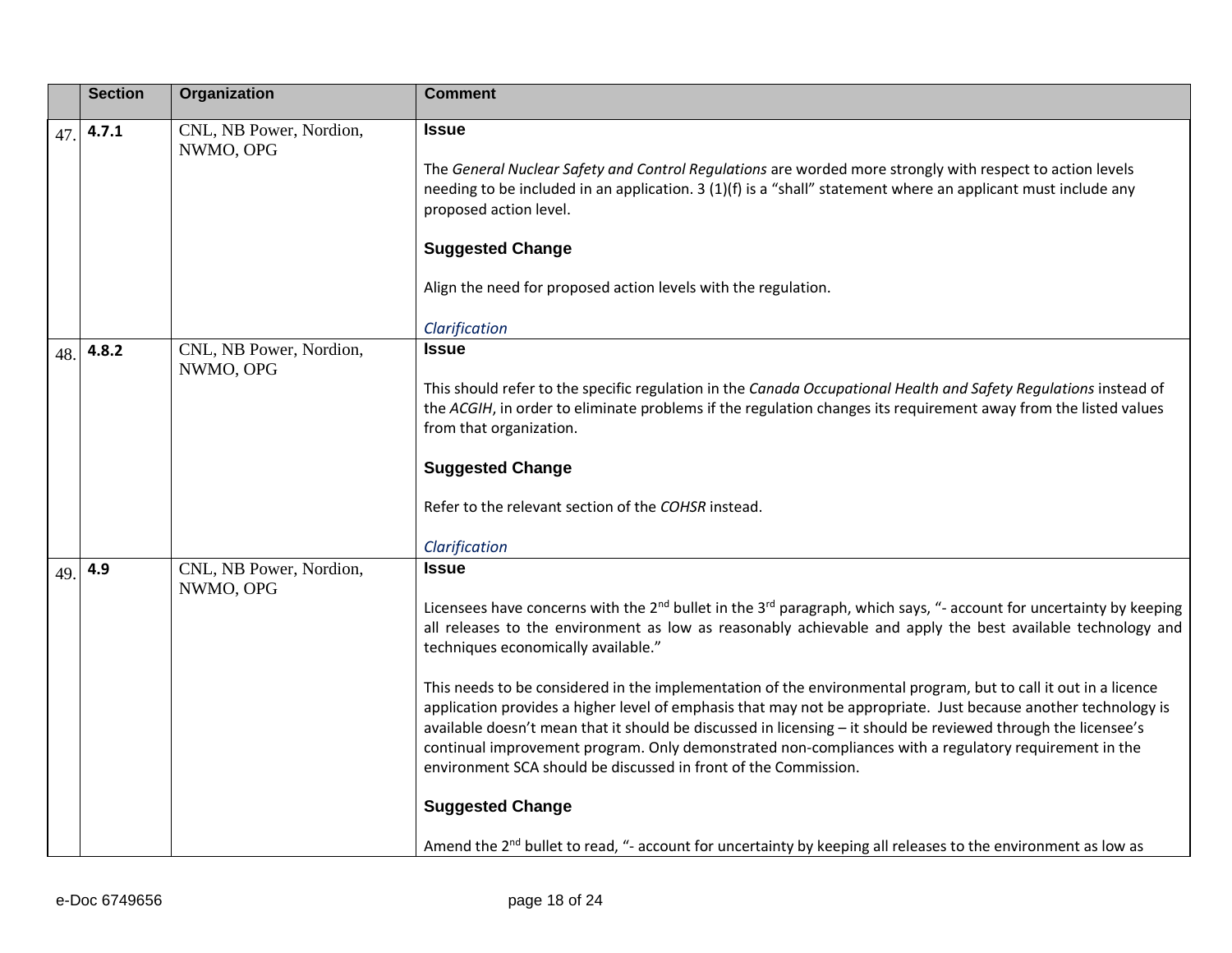|     | <b>Section</b> | Organization                         | <b>Comment</b>                                                                                                                                                                                                                                                                                                                                                                                                                                                                                                                                                                                                                                                                                                                                                                                                                                                                                                                                                                                  |
|-----|----------------|--------------------------------------|-------------------------------------------------------------------------------------------------------------------------------------------------------------------------------------------------------------------------------------------------------------------------------------------------------------------------------------------------------------------------------------------------------------------------------------------------------------------------------------------------------------------------------------------------------------------------------------------------------------------------------------------------------------------------------------------------------------------------------------------------------------------------------------------------------------------------------------------------------------------------------------------------------------------------------------------------------------------------------------------------|
| 47  | 4.7.1          | CNL, NB Power, Nordion,<br>NWMO, OPG | <b>Issue</b><br>The General Nuclear Safety and Control Regulations are worded more strongly with respect to action levels<br>needing to be included in an application. 3 (1)(f) is a "shall" statement where an applicant must include any<br>proposed action level.<br><b>Suggested Change</b><br>Align the need for proposed action levels with the regulation.<br>Clarification                                                                                                                                                                                                                                                                                                                                                                                                                                                                                                                                                                                                              |
| 48. | 4.8.2          | CNL, NB Power, Nordion,<br>NWMO, OPG | <b>Issue</b><br>This should refer to the specific regulation in the Canada Occupational Health and Safety Regulations instead of<br>the ACGIH, in order to eliminate problems if the regulation changes its requirement away from the listed values<br>from that organization.<br><b>Suggested Change</b><br>Refer to the relevant section of the COHSR instead.<br>Clarification                                                                                                                                                                                                                                                                                                                                                                                                                                                                                                                                                                                                               |
| 49. | 4.9            | CNL, NB Power, Nordion,<br>NWMO, OPG | <b>Issue</b><br>Licensees have concerns with the $2^{nd}$ bullet in the $3^{rd}$ paragraph, which says, "- account for uncertainty by keeping<br>all releases to the environment as low as reasonably achievable and apply the best available technology and<br>techniques economically available."<br>This needs to be considered in the implementation of the environmental program, but to call it out in a licence<br>application provides a higher level of emphasis that may not be appropriate. Just because another technology is<br>available doesn't mean that it should be discussed in licensing - it should be reviewed through the licensee's<br>continual improvement program. Only demonstrated non-compliances with a regulatory requirement in the<br>environment SCA should be discussed in front of the Commission.<br><b>Suggested Change</b><br>Amend the 2 <sup>nd</sup> bullet to read, "- account for uncertainty by keeping all releases to the environment as low as |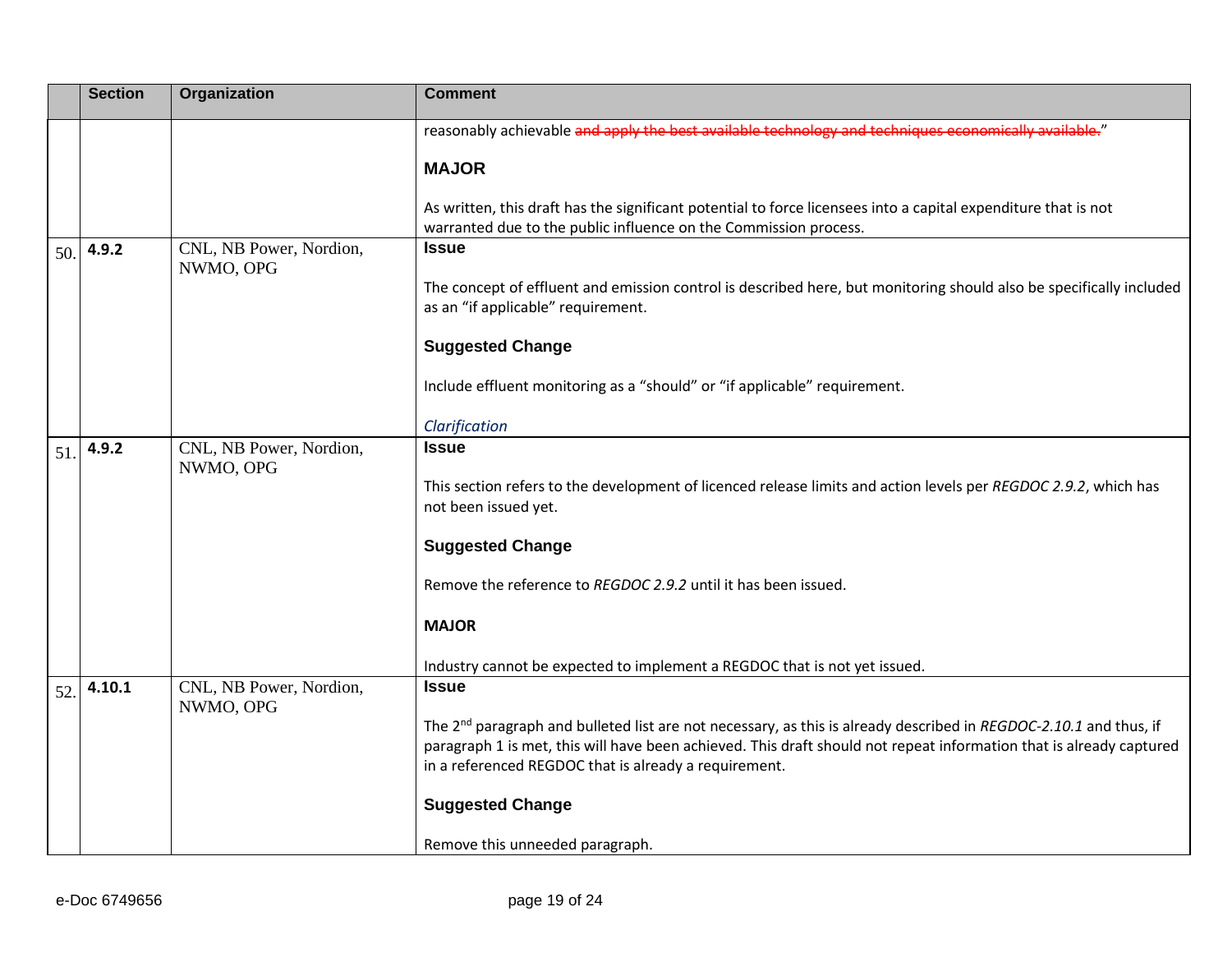|     | <b>Section</b> | Organization                         | <b>Comment</b>                                                                                                                                                                     |
|-----|----------------|--------------------------------------|------------------------------------------------------------------------------------------------------------------------------------------------------------------------------------|
|     |                |                                      | reasonably achievable and apply the best available technology and techniques economically available."                                                                              |
|     |                |                                      | <b>MAJOR</b>                                                                                                                                                                       |
|     |                |                                      | As written, this draft has the significant potential to force licensees into a capital expenditure that is not<br>warranted due to the public influence on the Commission process. |
| 50. | 4.9.2          | CNL, NB Power, Nordion,<br>NWMO, OPG | <b>Issue</b>                                                                                                                                                                       |
|     |                |                                      | The concept of effluent and emission control is described here, but monitoring should also be specifically included<br>as an "if applicable" requirement.                          |
|     |                |                                      | <b>Suggested Change</b>                                                                                                                                                            |
|     |                |                                      | Include effluent monitoring as a "should" or "if applicable" requirement.                                                                                                          |
|     |                |                                      | Clarification                                                                                                                                                                      |
| 51. | 4.9.2          | CNL, NB Power, Nordion,<br>NWMO, OPG | <b>Issue</b>                                                                                                                                                                       |
|     |                |                                      | This section refers to the development of licenced release limits and action levels per REGDOC 2.9.2, which has<br>not been issued yet.                                            |
|     |                |                                      | <b>Suggested Change</b>                                                                                                                                                            |
|     |                |                                      | Remove the reference to REGDOC 2.9.2 until it has been issued.                                                                                                                     |
|     |                |                                      | <b>MAJOR</b>                                                                                                                                                                       |
|     |                |                                      | Industry cannot be expected to implement a REGDOC that is not yet issued.                                                                                                          |
| 52. | 4.10.1         | CNL, NB Power, Nordion,<br>NWMO, OPG | <b>Issue</b>                                                                                                                                                                       |
|     |                |                                      | The 2 <sup>nd</sup> paragraph and bulleted list are not necessary, as this is already described in REGDOC-2.10.1 and thus, if                                                      |
|     |                |                                      | paragraph 1 is met, this will have been achieved. This draft should not repeat information that is already captured                                                                |
|     |                |                                      | in a referenced REGDOC that is already a requirement.                                                                                                                              |
|     |                |                                      | <b>Suggested Change</b>                                                                                                                                                            |
|     |                |                                      | Remove this unneeded paragraph.                                                                                                                                                    |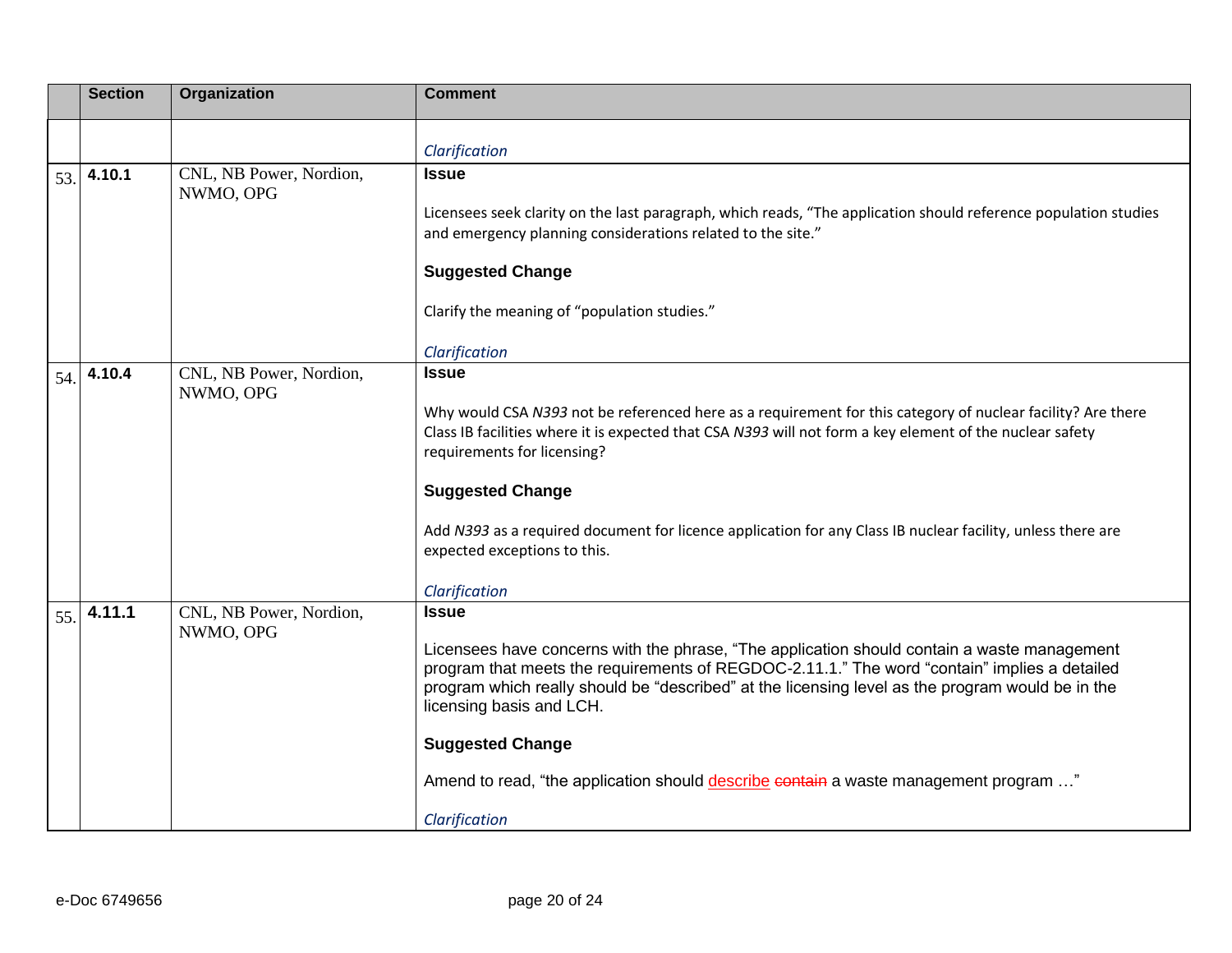|     | <b>Section</b> | Organization                         | <b>Comment</b>                                                                                                                                                                                                                                                                                                                                                                                                                                                                  |
|-----|----------------|--------------------------------------|---------------------------------------------------------------------------------------------------------------------------------------------------------------------------------------------------------------------------------------------------------------------------------------------------------------------------------------------------------------------------------------------------------------------------------------------------------------------------------|
|     |                |                                      | Clarification                                                                                                                                                                                                                                                                                                                                                                                                                                                                   |
| 53. | 4.10.1         | CNL, NB Power, Nordion,<br>NWMO, OPG | <b>Issue</b><br>Licensees seek clarity on the last paragraph, which reads, "The application should reference population studies<br>and emergency planning considerations related to the site."<br><b>Suggested Change</b><br>Clarify the meaning of "population studies."                                                                                                                                                                                                       |
|     |                |                                      | Clarification                                                                                                                                                                                                                                                                                                                                                                                                                                                                   |
| 54. | 4.10.4         | CNL, NB Power, Nordion,<br>NWMO, OPG | <b>Issue</b><br>Why would CSA N393 not be referenced here as a requirement for this category of nuclear facility? Are there<br>Class IB facilities where it is expected that CSA N393 will not form a key element of the nuclear safety<br>requirements for licensing?<br><b>Suggested Change</b><br>Add N393 as a required document for licence application for any Class IB nuclear facility, unless there are<br>expected exceptions to this.<br>Clarification               |
| 55. | 4.11.1         | CNL, NB Power, Nordion,<br>NWMO, OPG | <b>Issue</b><br>Licensees have concerns with the phrase, "The application should contain a waste management<br>program that meets the requirements of REGDOC-2.11.1." The word "contain" implies a detailed<br>program which really should be "described" at the licensing level as the program would be in the<br>licensing basis and LCH.<br><b>Suggested Change</b><br>Amend to read, "the application should describe contain a waste management program "<br>Clarification |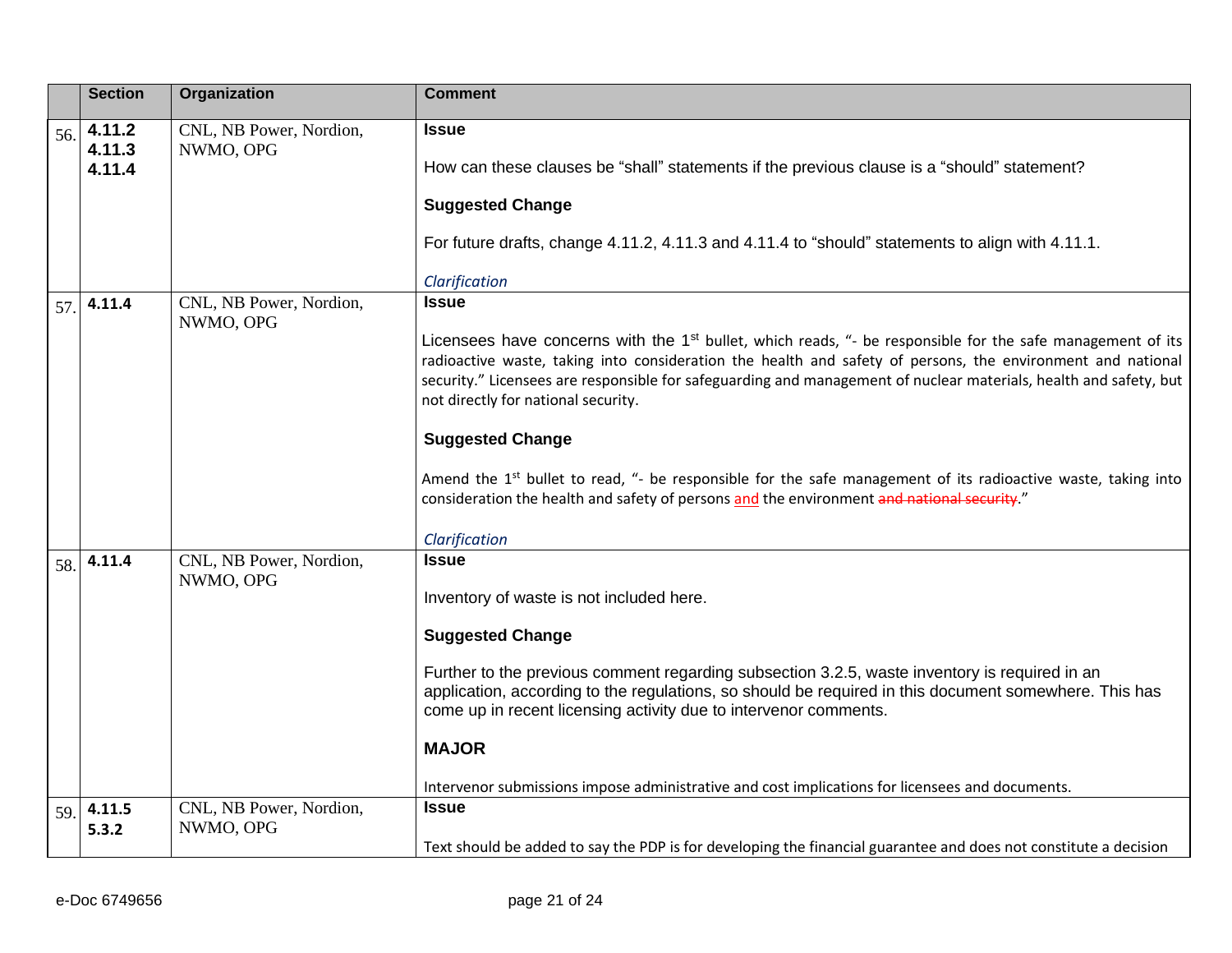|     | <b>Section</b>             | Organization                                                    | <b>Comment</b>                                                                                                                                                                                                                                                                                                                                                                                                                                                                                                                                                                                                                                                                           |
|-----|----------------------------|-----------------------------------------------------------------|------------------------------------------------------------------------------------------------------------------------------------------------------------------------------------------------------------------------------------------------------------------------------------------------------------------------------------------------------------------------------------------------------------------------------------------------------------------------------------------------------------------------------------------------------------------------------------------------------------------------------------------------------------------------------------------|
| 56. | 4.11.2<br>4.11.3<br>4.11.4 | CNL, NB Power, Nordion,<br>NWMO, OPG                            | <b>Issue</b><br>How can these clauses be "shall" statements if the previous clause is a "should" statement?<br><b>Suggested Change</b><br>For future drafts, change 4.11.2, 4.11.3 and 4.11.4 to "should" statements to align with 4.11.1.<br>Clarification                                                                                                                                                                                                                                                                                                                                                                                                                              |
| 57. | 4.11.4                     | CNL, NB Power, Nordion,<br>NWMO, OPG                            | <b>Issue</b><br>Licensees have concerns with the 1 <sup>st</sup> bullet, which reads, "- be responsible for the safe management of its<br>radioactive waste, taking into consideration the health and safety of persons, the environment and national<br>security." Licensees are responsible for safeguarding and management of nuclear materials, health and safety, but<br>not directly for national security.<br><b>Suggested Change</b><br>Amend the 1 <sup>st</sup> bullet to read, "- be responsible for the safe management of its radioactive waste, taking into<br>consideration the health and safety of persons and the environment and national security."<br>Clarification |
| 58. | 4.11.4<br>4.11.5           | CNL, NB Power, Nordion,<br>NWMO, OPG<br>CNL, NB Power, Nordion, | <b>Issue</b><br>Inventory of waste is not included here.<br><b>Suggested Change</b><br>Further to the previous comment regarding subsection 3.2.5, waste inventory is required in an<br>application, according to the regulations, so should be required in this document somewhere. This has<br>come up in recent licensing activity due to intervenor comments.<br><b>MAJOR</b><br>Intervenor submissions impose administrative and cost implications for licensees and documents.<br><b>Issue</b>                                                                                                                                                                                     |
| 59. | 5.3.2                      | NWMO, OPG                                                       | Text should be added to say the PDP is for developing the financial guarantee and does not constitute a decision                                                                                                                                                                                                                                                                                                                                                                                                                                                                                                                                                                         |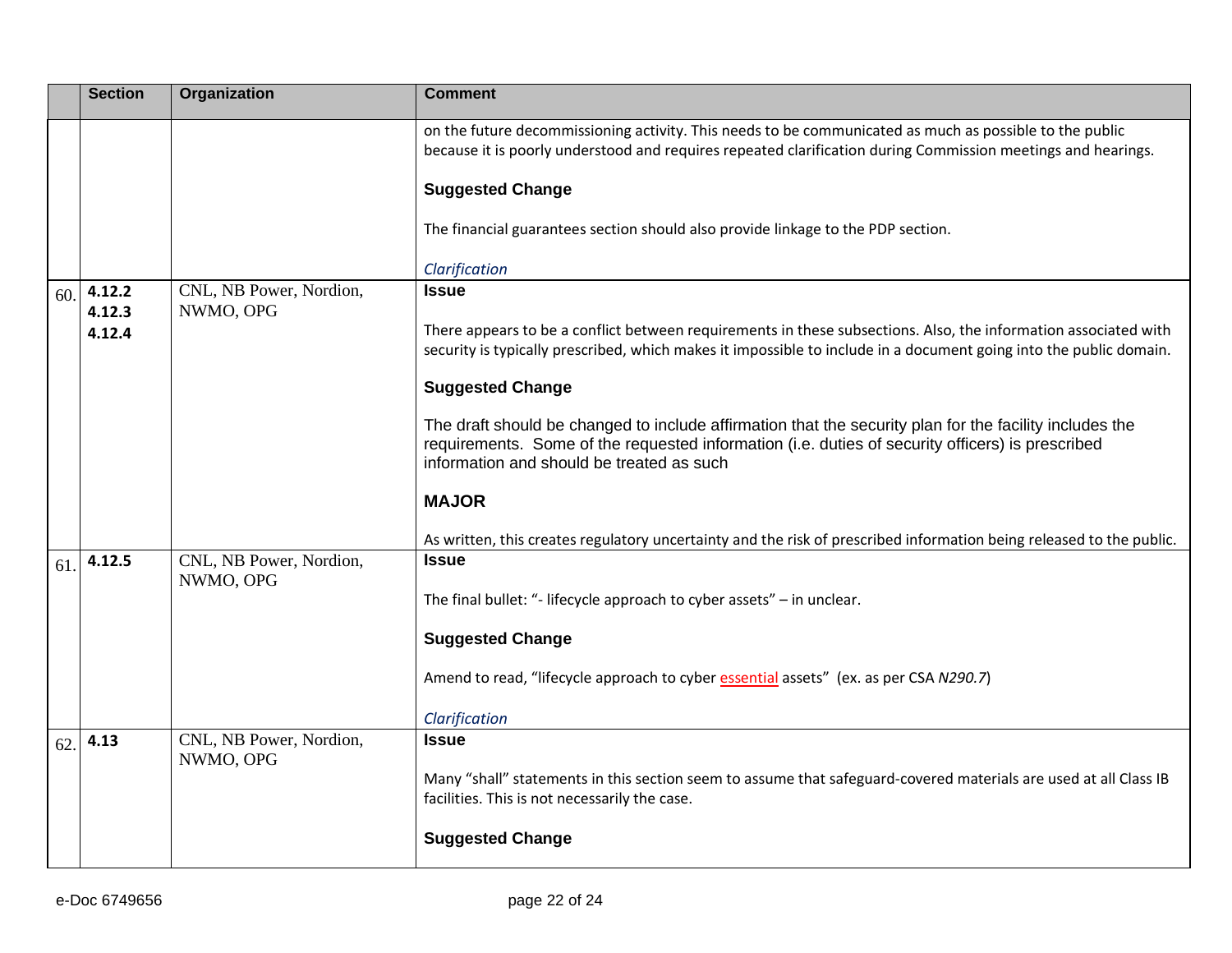|     | <b>Section</b>   | Organization                         | <b>Comment</b>                                                                                                                                                                                                                                           |
|-----|------------------|--------------------------------------|----------------------------------------------------------------------------------------------------------------------------------------------------------------------------------------------------------------------------------------------------------|
|     |                  |                                      | on the future decommissioning activity. This needs to be communicated as much as possible to the public<br>because it is poorly understood and requires repeated clarification during Commission meetings and hearings.                                  |
|     |                  |                                      | <b>Suggested Change</b>                                                                                                                                                                                                                                  |
|     |                  |                                      | The financial guarantees section should also provide linkage to the PDP section.                                                                                                                                                                         |
|     |                  |                                      | Clarification                                                                                                                                                                                                                                            |
| 60. | 4.12.2<br>4.12.3 | CNL, NB Power, Nordion,<br>NWMO, OPG | <b>Issue</b>                                                                                                                                                                                                                                             |
|     | 4.12.4           |                                      | There appears to be a conflict between requirements in these subsections. Also, the information associated with<br>security is typically prescribed, which makes it impossible to include in a document going into the public domain.                    |
|     |                  |                                      | <b>Suggested Change</b>                                                                                                                                                                                                                                  |
|     |                  |                                      | The draft should be changed to include affirmation that the security plan for the facility includes the<br>requirements. Some of the requested information (i.e. duties of security officers) is prescribed<br>information and should be treated as such |
|     |                  |                                      | <b>MAJOR</b>                                                                                                                                                                                                                                             |
|     |                  |                                      | As written, this creates regulatory uncertainty and the risk of prescribed information being released to the public.                                                                                                                                     |
| 61. | 4.12.5           | CNL, NB Power, Nordion,<br>NWMO, OPG | <b>Issue</b>                                                                                                                                                                                                                                             |
|     |                  |                                      | The final bullet: "- lifecycle approach to cyber assets" - in unclear.                                                                                                                                                                                   |
|     |                  |                                      | <b>Suggested Change</b>                                                                                                                                                                                                                                  |
|     |                  |                                      | Amend to read, "lifecycle approach to cyber essential assets" (ex. as per CSA N290.7)                                                                                                                                                                    |
|     |                  |                                      | Clarification                                                                                                                                                                                                                                            |
| 62. | 4.13             | CNL, NB Power, Nordion,<br>NWMO, OPG | <b>Issue</b>                                                                                                                                                                                                                                             |
|     |                  |                                      | Many "shall" statements in this section seem to assume that safeguard-covered materials are used at all Class IB<br>facilities. This is not necessarily the case.                                                                                        |
|     |                  |                                      | <b>Suggested Change</b>                                                                                                                                                                                                                                  |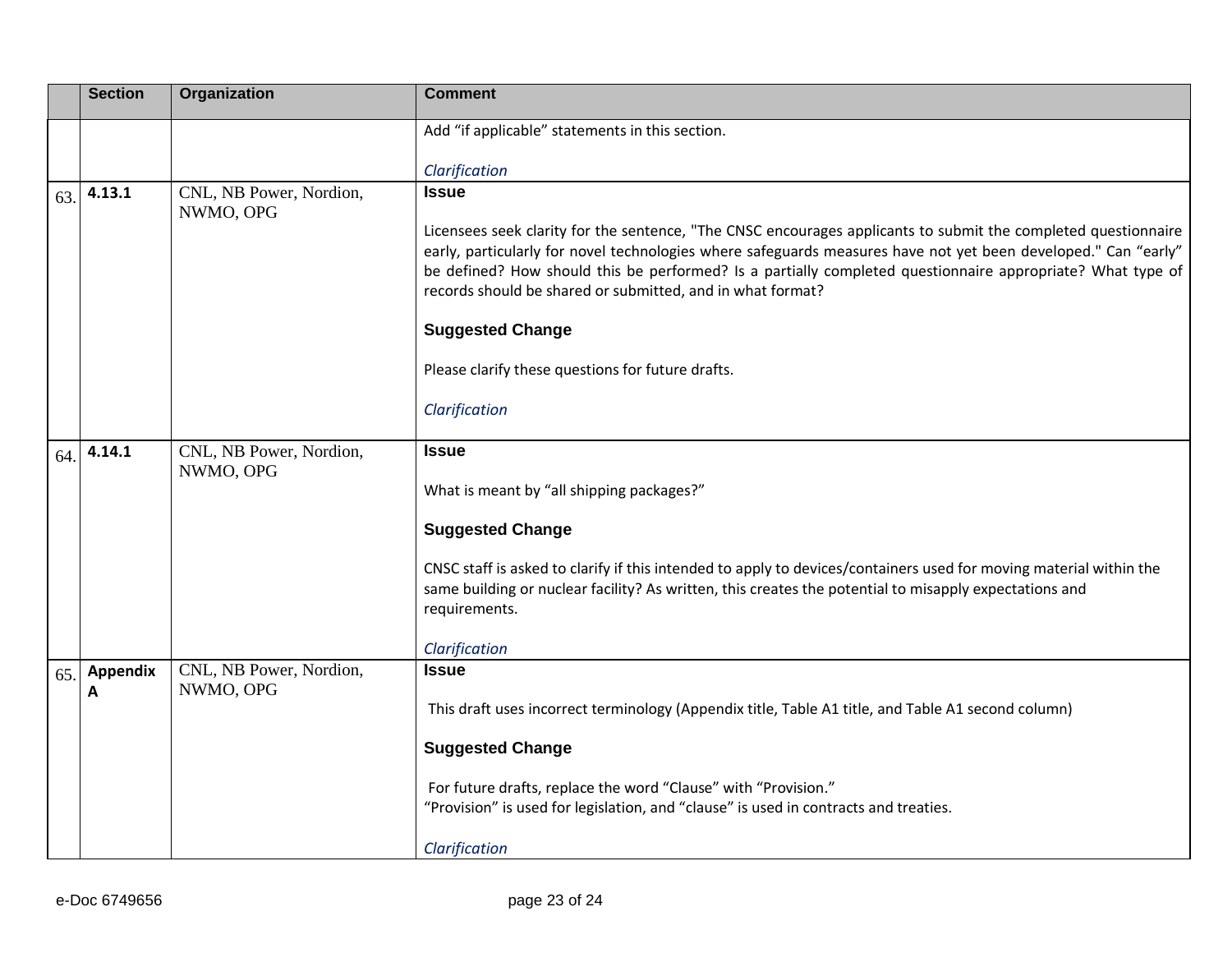|     | <b>Section</b>       | Organization                         | <b>Comment</b>                                                                                                                                                                                                                                                                                                                                                                                                                                          |
|-----|----------------------|--------------------------------------|---------------------------------------------------------------------------------------------------------------------------------------------------------------------------------------------------------------------------------------------------------------------------------------------------------------------------------------------------------------------------------------------------------------------------------------------------------|
|     |                      |                                      | Add "if applicable" statements in this section.                                                                                                                                                                                                                                                                                                                                                                                                         |
|     |                      |                                      | Clarification                                                                                                                                                                                                                                                                                                                                                                                                                                           |
| 63. | 4.13.1               | CNL, NB Power, Nordion,<br>NWMO, OPG | <b>Issue</b><br>Licensees seek clarity for the sentence, "The CNSC encourages applicants to submit the completed questionnaire<br>early, particularly for novel technologies where safeguards measures have not yet been developed." Can "early"<br>be defined? How should this be performed? Is a partially completed questionnaire appropriate? What type of<br>records should be shared or submitted, and in what format?<br><b>Suggested Change</b> |
|     |                      |                                      | Please clarify these questions for future drafts.                                                                                                                                                                                                                                                                                                                                                                                                       |
|     |                      |                                      | Clarification                                                                                                                                                                                                                                                                                                                                                                                                                                           |
| 64. | 4.14.1               | CNL, NB Power, Nordion,<br>NWMO, OPG | <b>Issue</b><br>What is meant by "all shipping packages?"<br><b>Suggested Change</b>                                                                                                                                                                                                                                                                                                                                                                    |
|     |                      |                                      | CNSC staff is asked to clarify if this intended to apply to devices/containers used for moving material within the<br>same building or nuclear facility? As written, this creates the potential to misapply expectations and<br>requirements.<br>Clarification                                                                                                                                                                                          |
| 65. | <b>Appendix</b><br>A | CNL, NB Power, Nordion,<br>NWMO, OPG | <b>Issue</b><br>This draft uses incorrect terminology (Appendix title, Table A1 title, and Table A1 second column)                                                                                                                                                                                                                                                                                                                                      |
|     |                      |                                      | <b>Suggested Change</b>                                                                                                                                                                                                                                                                                                                                                                                                                                 |
|     |                      |                                      | For future drafts, replace the word "Clause" with "Provision."<br>"Provision" is used for legislation, and "clause" is used in contracts and treaties.                                                                                                                                                                                                                                                                                                  |
|     |                      |                                      | Clarification                                                                                                                                                                                                                                                                                                                                                                                                                                           |